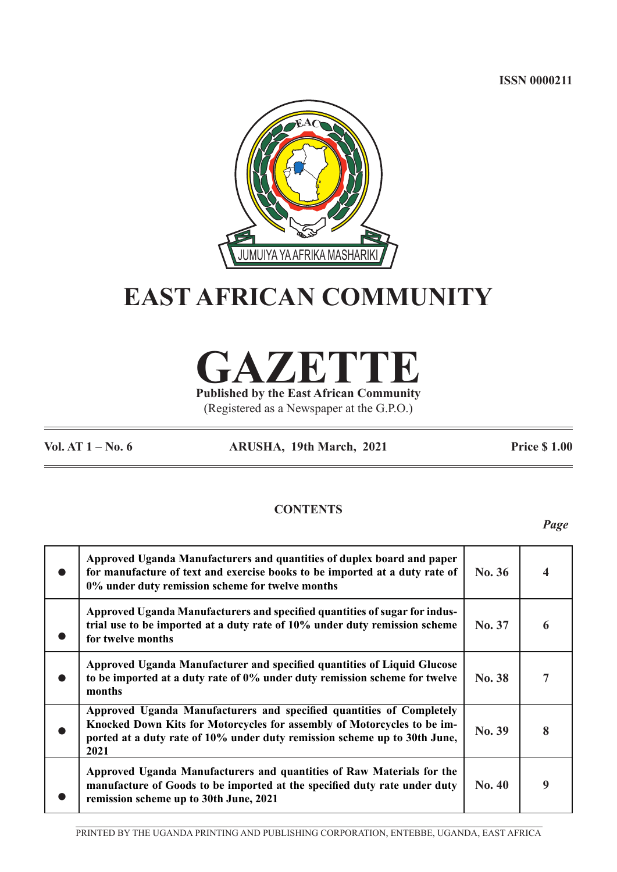**ISSN 0000211**



# **EAST AFRICAN COMMUNITY**

**GAZETTE**

**Published by the East African Community** (Registered as a Newspaper at the G.P.O.)

**Vol. AT 1 – No. 6 ARUSHA, 19th March, 2021 Price \$ 1.00**

## **CONTENTS**

*Page*

|           | Approved Uganda Manufacturers and quantities of duplex board and paper<br>for manufacture of text and exercise books to be imported at a duty rate of<br>0% under duty remission scheme for twelve months                            | $\bf{No.}36$  |   |
|-----------|--------------------------------------------------------------------------------------------------------------------------------------------------------------------------------------------------------------------------------------|---------------|---|
|           | Approved Uganda Manufacturers and specified quantities of sugar for indus-<br>trial use to be imported at a duty rate of 10% under duty remission scheme<br>for twelve months                                                        | No. 37        | 6 |
| $\bullet$ | Approved Uganda Manufacturer and specified quantities of Liquid Glucose<br>to be imported at a duty rate of 0% under duty remission scheme for twelve<br>months                                                                      | No. 38        |   |
|           | Approved Uganda Manufacturers and specified quantities of Completely<br>Knocked Down Kits for Motorcycles for assembly of Motorcycles to be im-<br>ported at a duty rate of 10% under duty remission scheme up to 30th June,<br>2021 | No. 39        | 8 |
|           | Approved Uganda Manufacturers and quantities of Raw Materials for the<br>manufacture of Goods to be imported at the specified duty rate under duty<br>remission scheme up to 30th June, 2021                                         | <b>No. 40</b> | 9 |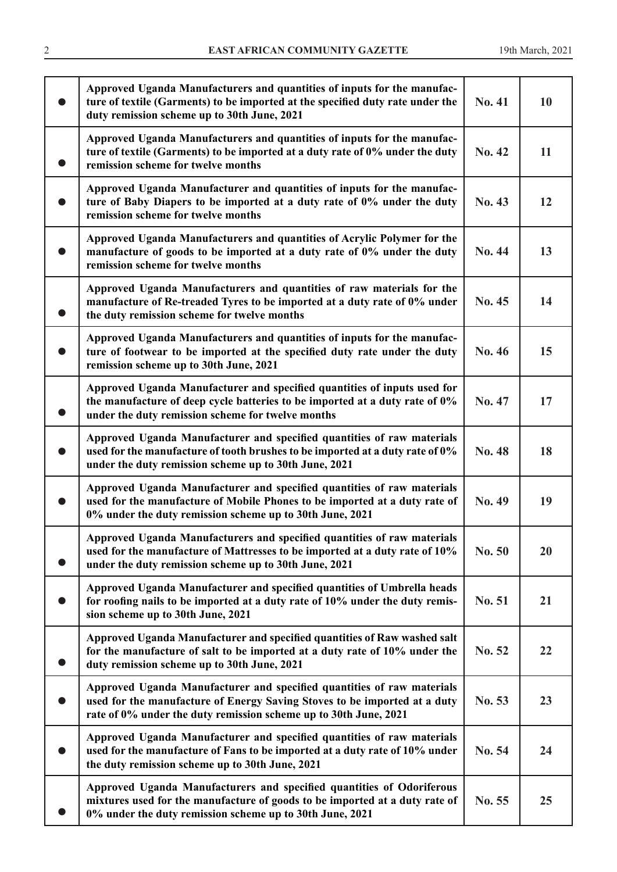| Approved Uganda Manufacturers and quantities of inputs for the manufac-<br>ture of textile (Garments) to be imported at the specified duty rate under the<br>duty remission scheme up to 30th June, 2021                | No. 41 | <b>10</b> |
|-------------------------------------------------------------------------------------------------------------------------------------------------------------------------------------------------------------------------|--------|-----------|
| Approved Uganda Manufacturers and quantities of inputs for the manufac-<br>ture of textile (Garments) to be imported at a duty rate of 0% under the duty<br>remission scheme for twelve months                          | No. 42 | 11        |
| Approved Uganda Manufacturer and quantities of inputs for the manufac-<br>ture of Baby Diapers to be imported at a duty rate of 0% under the duty<br>remission scheme for twelve months                                 | No. 43 | 12        |
| Approved Uganda Manufacturers and quantities of Acrylic Polymer for the<br>manufacture of goods to be imported at a duty rate of 0% under the duty<br>remission scheme for twelve months                                | No. 44 | 13        |
| Approved Uganda Manufacturers and quantities of raw materials for the<br>manufacture of Re-treaded Tyres to be imported at a duty rate of 0% under<br>the duty remission scheme for twelve months                       | No. 45 | 14        |
| Approved Uganda Manufacturers and quantities of inputs for the manufac-<br>ture of footwear to be imported at the specified duty rate under the duty<br>remission scheme up to 30th June, 2021                          | No. 46 | 15        |
| Approved Uganda Manufacturer and specified quantities of inputs used for<br>the manufacture of deep cycle batteries to be imported at a duty rate of 0%<br>under the duty remission scheme for twelve months            | No. 47 | 17        |
| Approved Uganda Manufacturer and specified quantities of raw materials<br>used for the manufacture of tooth brushes to be imported at a duty rate of 0%<br>under the duty remission scheme up to 30th June, 2021        | No. 48 | 18        |
| Approved Uganda Manufacturer and specified quantities of raw materials<br>used for the manufacture of Mobile Phones to be imported at a duty rate of<br>0% under the duty remission scheme up to 30th June, 2021        | No. 49 | 19        |
| Approved Uganda Manufacturers and specified quantities of raw materials<br>used for the manufacture of Mattresses to be imported at a duty rate of 10%<br>under the duty remission scheme up to 30th June, 2021         | No. 50 | 20        |
| Approved Uganda Manufacturer and specified quantities of Umbrella heads<br>for roofing nails to be imported at a duty rate of 10% under the duty remis-<br>sion scheme up to 30th June, 2021                            | No. 51 | 21        |
| Approved Uganda Manufacturer and specified quantities of Raw washed salt<br>for the manufacture of salt to be imported at a duty rate of 10% under the<br>duty remission scheme up to 30th June, 2021                   | No. 52 | 22        |
| Approved Uganda Manufacturer and specified quantities of raw materials<br>used for the manufacture of Energy Saving Stoves to be imported at a duty<br>rate of 0% under the duty remission scheme up to 30th June, 2021 | No. 53 | 23        |
| Approved Uganda Manufacturer and specified quantities of raw materials<br>used for the manufacture of Fans to be imported at a duty rate of 10% under<br>the duty remission scheme up to 30th June, 2021                | No. 54 | 24        |
| Approved Uganda Manufacturers and specified quantities of Odoriferous<br>mixtures used for the manufacture of goods to be imported at a duty rate of<br>0% under the duty remission scheme up to 30th June, 2021        | No. 55 | 25        |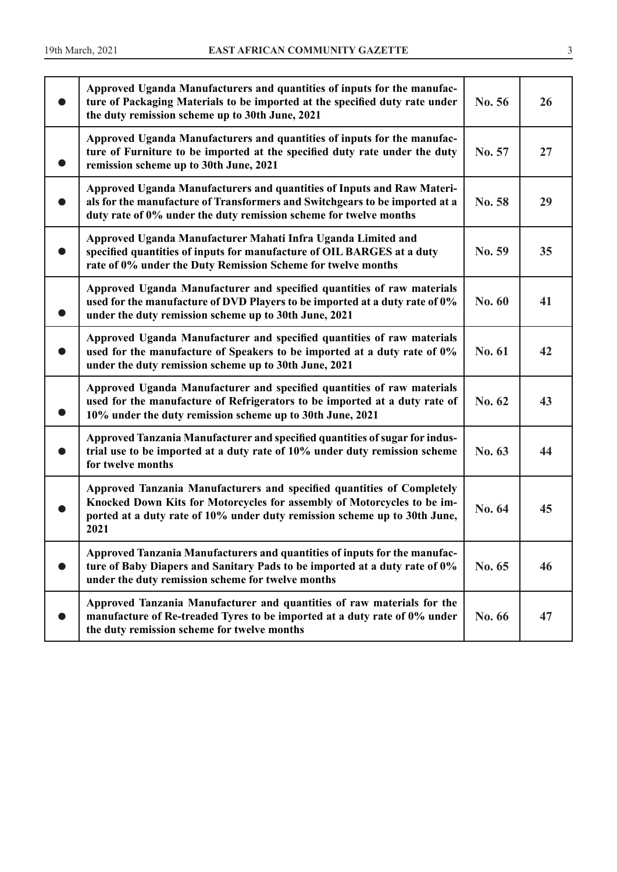| Approved Uganda Manufacturers and quantities of inputs for the manufac-<br>ture of Packaging Materials to be imported at the specified duty rate under<br>the duty remission scheme up to 30th June, 2021                              | No. 56 | 26 |
|----------------------------------------------------------------------------------------------------------------------------------------------------------------------------------------------------------------------------------------|--------|----|
| Approved Uganda Manufacturers and quantities of inputs for the manufac-<br>ture of Furniture to be imported at the specified duty rate under the duty<br>remission scheme up to 30th June, 2021                                        | No. 57 | 27 |
| Approved Uganda Manufacturers and quantities of Inputs and Raw Materi-<br>als for the manufacture of Transformers and Switchgears to be imported at a<br>duty rate of 0% under the duty remission scheme for twelve months             | No. 58 | 29 |
| Approved Uganda Manufacturer Mahati Infra Uganda Limited and<br>specified quantities of inputs for manufacture of OIL BARGES at a duty<br>rate of 0% under the Duty Remission Scheme for twelve months                                 | No. 59 | 35 |
| Approved Uganda Manufacturer and specified quantities of raw materials<br>used for the manufacture of DVD Players to be imported at a duty rate of 0%<br>under the duty remission scheme up to 30th June, 2021                         | No. 60 | 41 |
| Approved Uganda Manufacturer and specified quantities of raw materials<br>used for the manufacture of Speakers to be imported at a duty rate of 0%<br>under the duty remission scheme up to 30th June, 2021                            | No. 61 | 42 |
| Approved Uganda Manufacturer and specified quantities of raw materials<br>used for the manufacture of Refrigerators to be imported at a duty rate of<br>10% under the duty remission scheme up to 30th June, 2021                      | No. 62 | 43 |
| Approved Tanzania Manufacturer and specified quantities of sugar for indus-<br>trial use to be imported at a duty rate of 10% under duty remission scheme<br>for twelve months                                                         | No. 63 | 44 |
| Approved Tanzania Manufacturers and specified quantities of Completely<br>Knocked Down Kits for Motorcycles for assembly of Motorcycles to be im-<br>ported at a duty rate of 10% under duty remission scheme up to 30th June,<br>2021 | No. 64 | 45 |
| Approved Tanzania Manufacturers and quantities of inputs for the manufac-<br>ture of Baby Diapers and Sanitary Pads to be imported at a duty rate of 0%<br>under the duty remission scheme for twelve months                           | No. 65 | 46 |
| Approved Tanzania Manufacturer and quantities of raw materials for the<br>manufacture of Re-treaded Tyres to be imported at a duty rate of 0% under<br>the duty remission scheme for twelve months                                     | No. 66 | 47 |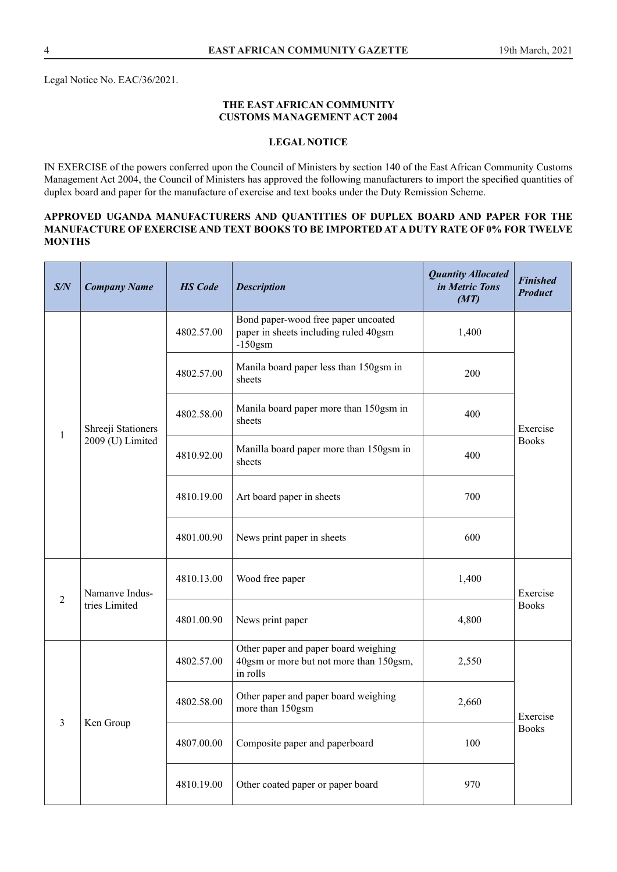Legal Notice No. EAC/36/2021.

#### **THE EAST AFRICAN COMMUNITY CUSTOMS MANAGEMENT ACT 2004**

## **LEGAL NOTICE**

IN EXERCISE of the powers conferred upon the Council of Ministers by section 140 of the East African Community Customs Management Act 2004, the Council of Ministers has approved the following manufacturers to import the specifed quantities of duplex board and paper for the manufacture of exercise and text books under the Duty Remission Scheme.

#### **APPROVED UGANDA MANUFACTURERS AND QUANTITIES OF DUPLEX BOARD AND PAPER FOR THE MANUFACTURE OF EXERCISE AND TEXT BOOKS TO BE IMPORTED AT A DUTY RATE OF 0% FOR TWELVE MONTHS**

| S/N            | <b>Company Name</b>             | <b>HS</b> Code | <b>Description</b>                                                                          | <b>Quantity Allocated</b><br>in Metric Tons<br>(MT) | <b>Finished</b><br><b>Product</b> |
|----------------|---------------------------------|----------------|---------------------------------------------------------------------------------------------|-----------------------------------------------------|-----------------------------------|
|                |                                 | 4802.57.00     | Bond paper-wood free paper uncoated<br>paper in sheets including ruled 40gsm<br>$-150$ gsm  | 1,400                                               |                                   |
|                |                                 | 4802.57.00     | Manila board paper less than 150gsm in<br>sheets                                            | 200                                                 |                                   |
| $\mathbf{1}$   | Shreeji Stationers              | 4802.58.00     | Manila board paper more than 150gsm in<br>sheets                                            | 400                                                 | Exercise                          |
|                | 2009 (U) Limited                | 4810.92.00     | Manilla board paper more than 150gsm in<br>sheets                                           | 400                                                 | <b>Books</b>                      |
|                |                                 | 4810.19.00     | Art board paper in sheets                                                                   | 700                                                 |                                   |
|                |                                 | 4801.00.90     | News print paper in sheets                                                                  | 600                                                 |                                   |
| $\overline{2}$ | Namanve Indus-<br>tries Limited | 4810.13.00     | Wood free paper                                                                             | 1,400                                               | Exercise                          |
|                |                                 | 4801.00.90     | News print paper                                                                            | 4,800                                               | <b>Books</b>                      |
|                |                                 | 4802.57.00     | Other paper and paper board weighing<br>40gsm or more but not more than 150gsm,<br>in rolls | 2,550                                               |                                   |
| 3              |                                 | 4802.58.00     | Other paper and paper board weighing<br>more than 150gsm                                    | 2,660                                               | Exercise                          |
|                | Ken Group                       | 4807.00.00     | Composite paper and paperboard                                                              | 100                                                 | <b>Books</b>                      |
|                |                                 | 4810.19.00     | Other coated paper or paper board                                                           | 970                                                 |                                   |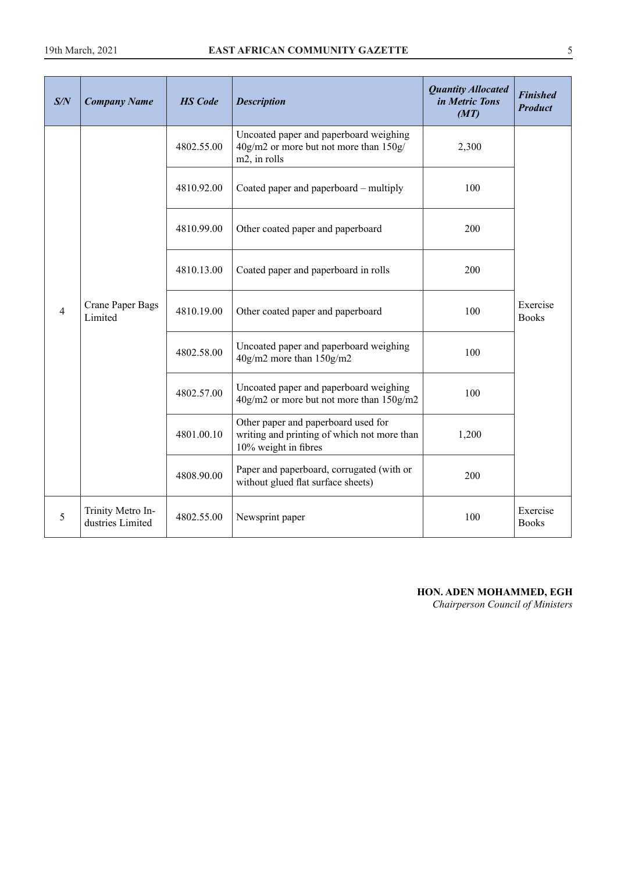| S/N            | <b>Company Name</b>                   | <b>HS</b> Code | <b>Description</b>                                                                                         | <b>Quantity Allocated</b><br>in Metric Tons<br>(MT) | <b>Finished</b><br><b>Product</b> |
|----------------|---------------------------------------|----------------|------------------------------------------------------------------------------------------------------------|-----------------------------------------------------|-----------------------------------|
| $\overline{4}$ |                                       | 4802.55.00     | Uncoated paper and paperboard weighing<br>40g/m2 or more but not more than 150g/<br>m2, in rolls           | 2,300                                               |                                   |
|                |                                       | 4810.92.00     | Coated paper and paperboard – multiply                                                                     | 100                                                 |                                   |
|                |                                       | 4810.99.00     | Other coated paper and paperboard                                                                          | 200                                                 |                                   |
|                | Crane Paper Bags<br>Limited           | 4810.13.00     | Coated paper and paperboard in rolls                                                                       | 200                                                 |                                   |
|                |                                       | 4810.19.00     | Other coated paper and paperboard                                                                          | 100                                                 | Exercise<br><b>Books</b>          |
|                |                                       | 4802.58.00     | Uncoated paper and paperboard weighing<br>40g/m2 more than 150g/m2                                         | 100                                                 |                                   |
|                |                                       | 4802.57.00     | Uncoated paper and paperboard weighing<br>40g/m2 or more but not more than 150g/m2                         | 100                                                 |                                   |
|                |                                       | 4801.00.10     | Other paper and paperboard used for<br>writing and printing of which not more than<br>10% weight in fibres | 1,200                                               |                                   |
|                |                                       | 4808.90.00     | Paper and paperboard, corrugated (with or<br>without glued flat surface sheets)                            | 200                                                 |                                   |
| 5              | Trinity Metro In-<br>dustries Limited | 4802.55.00     | Newsprint paper                                                                                            | 100                                                 | Exercise<br><b>Books</b>          |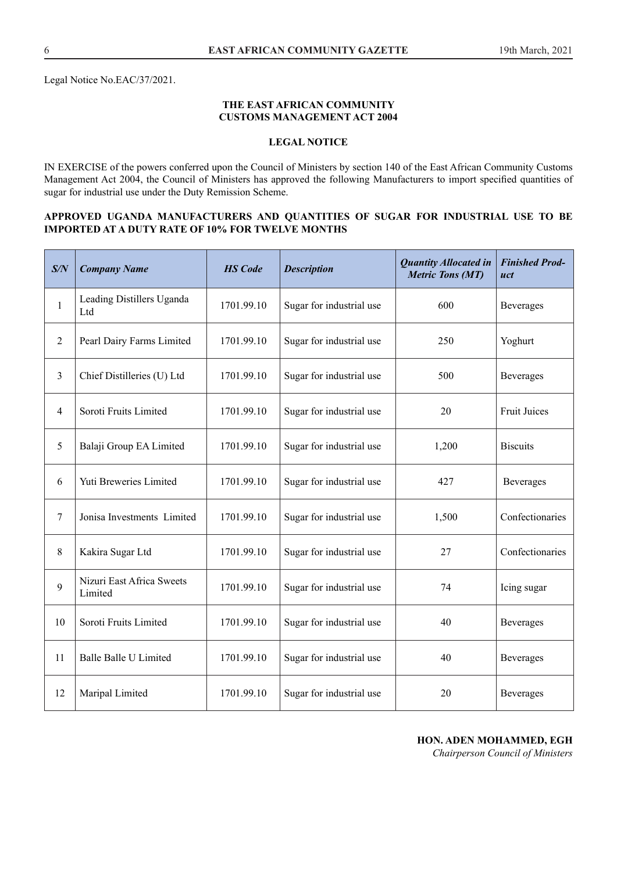#### **THE EAST AFRICAN COMMUNITY CUSTOMS MANAGEMENT ACT 2004**

## **LEGAL NOTICE**

IN EXERCISE of the powers conferred upon the Council of Ministers by section 140 of the East African Community Customs Management Act 2004, the Council of Ministers has approved the following Manufacturers to import specifed quantities of sugar for industrial use under the Duty Remission Scheme.

#### **APPROVED UGANDA MANUFACTURERS AND QUANTITIES OF SUGAR FOR INDUSTRIAL USE TO BE IMPORTED AT A DUTY RATE OF 10% FOR TWELVE MONTHS**

| S/N            | <b>Company Name</b>                  | <b>HS</b> Code | <b>Description</b>       | <b>Quantity Allocated in</b><br><b>Metric Tons (MT)</b> | <b>Finished Prod-</b><br>uct |
|----------------|--------------------------------------|----------------|--------------------------|---------------------------------------------------------|------------------------------|
| $\mathbf{1}$   | Leading Distillers Uganda<br>Ltd     | 1701.99.10     | Sugar for industrial use | 600                                                     | Beverages                    |
| $\overline{2}$ | Pearl Dairy Farms Limited            | 1701.99.10     | Sugar for industrial use | 250                                                     | Yoghurt                      |
| 3              | Chief Distilleries (U) Ltd           | 1701.99.10     | Sugar for industrial use | 500                                                     | <b>Beverages</b>             |
| 4              | Soroti Fruits Limited                | 1701.99.10     | Sugar for industrial use | 20                                                      | <b>Fruit Juices</b>          |
| 5              | Balaji Group EA Limited              | 1701.99.10     | Sugar for industrial use | 1,200                                                   | <b>Biscuits</b>              |
| 6              | Yuti Breweries Limited               | 1701.99.10     | Sugar for industrial use | 427                                                     | <b>Beverages</b>             |
| 7              | Jonisa Investments Limited           | 1701.99.10     | Sugar for industrial use | 1,500                                                   | Confectionaries              |
| 8              | Kakira Sugar Ltd                     | 1701.99.10     | Sugar for industrial use | 27                                                      | Confectionaries              |
| 9              | Nizuri East Africa Sweets<br>Limited | 1701.99.10     | Sugar for industrial use | 74                                                      | Icing sugar                  |
| 10             | Soroti Fruits Limited                | 1701.99.10     | Sugar for industrial use | 40                                                      | Beverages                    |
| 11             | <b>Balle Balle U Limited</b>         | 1701.99.10     | Sugar for industrial use | 40                                                      | Beverages                    |
| 12             | Maripal Limited                      | 1701.99.10     | Sugar for industrial use | 20                                                      | <b>Beverages</b>             |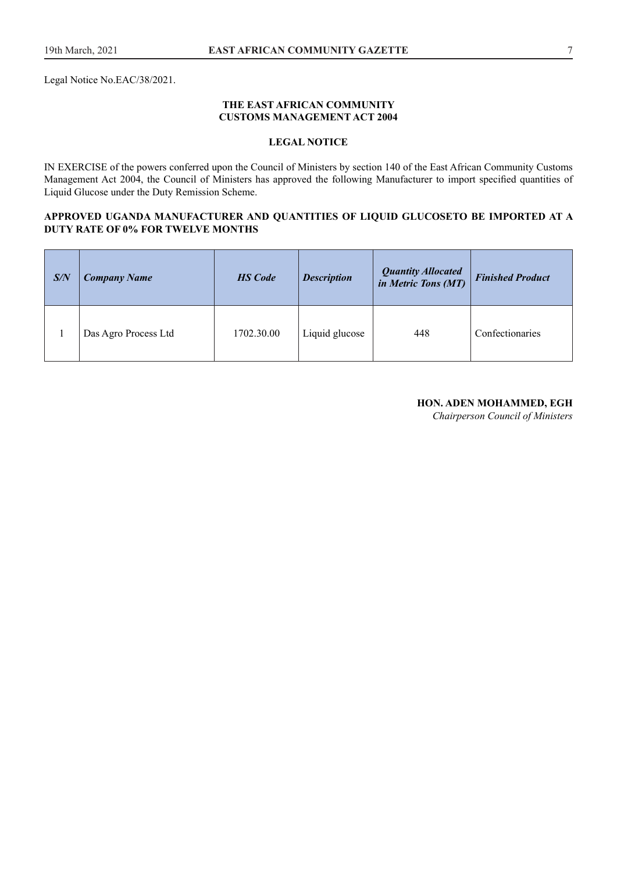Legal Notice No.EAC/38/2021.

#### **THE EAST AFRICAN COMMUNITY CUSTOMS MANAGEMENT ACT 2004**

## **LEGAL NOTICE**

IN EXERCISE of the powers conferred upon the Council of Ministers by section 140 of the East African Community Customs Management Act 2004, the Council of Ministers has approved the following Manufacturer to import specifed quantities of Liquid Glucose under the Duty Remission Scheme.

#### **APPROVED UGANDA MANUFACTURER AND QUANTITIES OF LIQUID GLUCOSETO BE IMPORTED AT A DUTY RATE OF 0% FOR TWELVE MONTHS**

| S/N | <b>Company Name</b>  | <b>HS</b> Code | <b>Description</b> | <b>Quantity Allocated</b><br>in Metric Tons (MT) | <b>Finished Product</b> |
|-----|----------------------|----------------|--------------------|--------------------------------------------------|-------------------------|
|     | Das Agro Process Ltd | 1702.30.00     | Liquid glucose     | 448                                              | Confectionaries         |

#### **HON. ADEN MOHAMMED, EGH**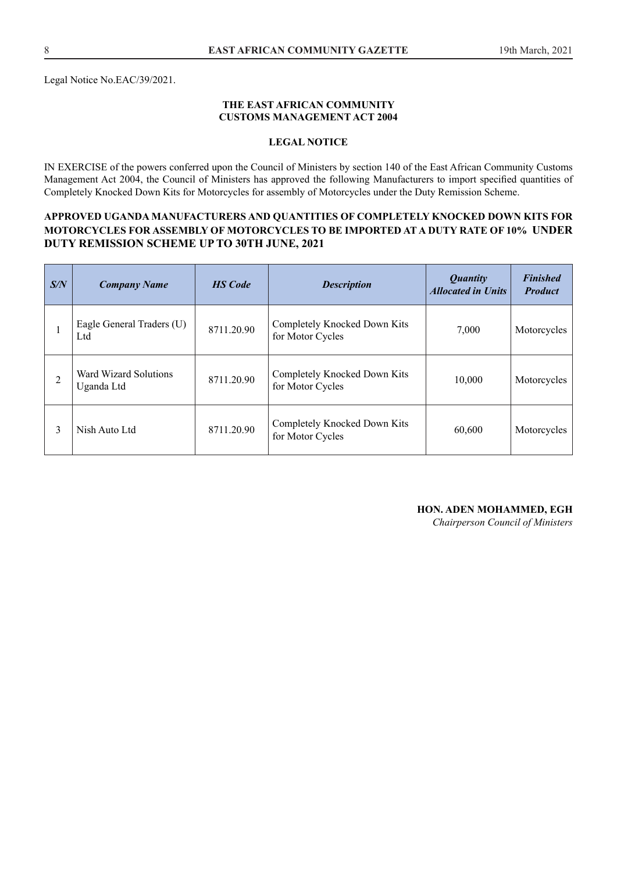Legal Notice No.EAC/39/2021.

#### **THE EAST AFRICAN COMMUNITY CUSTOMS MANAGEMENT ACT 2004**

#### **LEGAL NOTICE**

IN EXERCISE of the powers conferred upon the Council of Ministers by section 140 of the East African Community Customs Management Act 2004, the Council of Ministers has approved the following Manufacturers to import specifed quantities of Completely Knocked Down Kits for Motorcycles for assembly of Motorcycles under the Duty Remission Scheme.

## **APPROVED UGANDA MANUFACTURERS AND QUANTITIES OF COMPLETELY KNOCKED DOWN KITS FOR MOTORCYCLES FOR ASSEMBLY OF MOTORCYCLES TO BE IMPORTED AT A DUTY RATE OF 10% UNDER DUTY REMISSION SCHEME UP TO 30TH JUNE, 2021**

| S/N | <b>Company Name</b>                 | <b>HS</b> Code | <b>Description</b>                               | <i>Quantity</i><br><b>Allocated in Units</b> | <b>Finished</b><br><b>Product</b> |
|-----|-------------------------------------|----------------|--------------------------------------------------|----------------------------------------------|-----------------------------------|
|     | Eagle General Traders (U)<br>Ltd    | 8711.20.90     | Completely Knocked Down Kits<br>for Motor Cycles | 7,000                                        | Motorcycles                       |
| 2   | Ward Wizard Solutions<br>Uganda Ltd | 8711.20.90     | Completely Knocked Down Kits<br>for Motor Cycles | 10,000                                       | Motorcycles                       |
| 3   | Nish Auto Ltd                       | 8711.20.90     | Completely Knocked Down Kits<br>for Motor Cycles | 60,600                                       | Motorcycles                       |

#### **HON. ADEN MOHAMMED, EGH**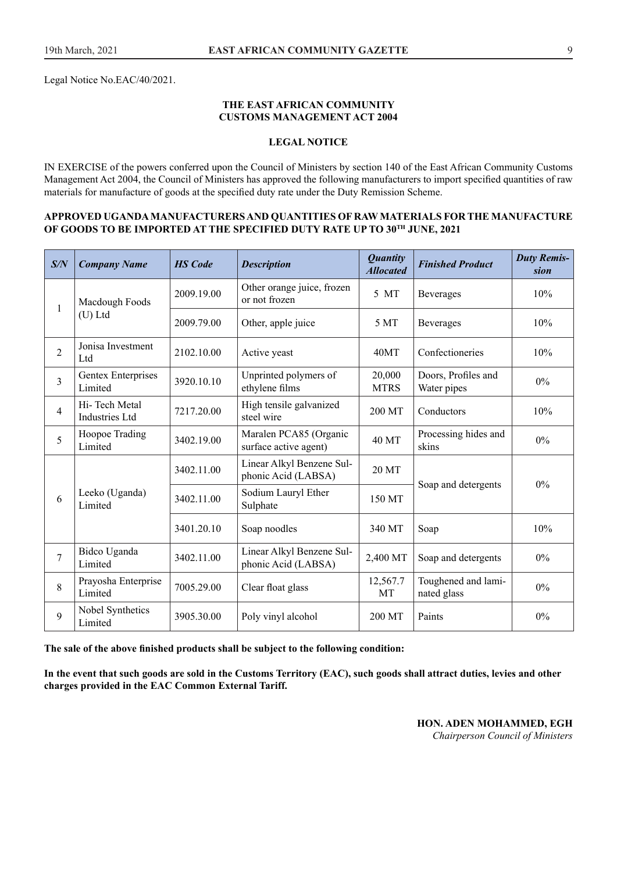Legal Notice No.EAC/40/2021.

#### **THE EAST AFRICAN COMMUNITY CUSTOMS MANAGEMENT ACT 2004**

#### **LEGAL NOTICE**

IN EXERCISE of the powers conferred upon the Council of Ministers by section 140 of the East African Community Customs Management Act 2004, the Council of Ministers has approved the following manufacturers to import specifed quantities of raw materials for manufacture of goods at the specifed duty rate under the Duty Remission Scheme.

#### **APPROVED UGANDA MANUFACTURERS AND QUANTITIES OF RAW MATERIALS FOR THE MANUFACTURE OF GOODS TO BE IMPORTED AT THE SPECIFIED DUTY RATE UP TO 30TH JUNE, 2021**

| S/N                     | <b>Company Name</b>                    | <b>HS</b> Code | <b>Description</b>                               | <b>Quantity</b><br><b>Allocated</b> | <b>Finished Product</b>            | <b>Duty Remis-</b><br>sion |
|-------------------------|----------------------------------------|----------------|--------------------------------------------------|-------------------------------------|------------------------------------|----------------------------|
| 1                       | Macdough Foods                         | 2009.19.00     | Other orange juice, frozen<br>or not frozen      | 5 MT                                | <b>Beverages</b>                   | 10%                        |
|                         | $(U)$ Ltd                              | 2009.79.00     | Other, apple juice                               | 5 MT                                | <b>Beverages</b>                   | 10%                        |
| $\overline{c}$          | Jonisa Investment<br>Ltd               | 2102.10.00     | Active yeast                                     | 40MT                                | Confectioneries                    | 10%                        |
| $\overline{\mathbf{3}}$ | Gentex Enterprises<br>Limited          | 3920.10.10     | Unprinted polymers of<br>ethylene films          | 20,000<br><b>MTRS</b>               | Doors, Profiles and<br>Water pipes | $0\%$                      |
| 4                       | Hi-Tech Metal<br><b>Industries Ltd</b> | 7217.20.00     | High tensile galvanized<br>steel wire            | 200 MT                              | Conductors                         | 10%                        |
| 5                       | Hoopoe Trading<br>Limited              | 3402.19.00     | Maralen PCA85 (Organic<br>surface active agent)  | 40 MT                               | Processing hides and<br>skins      | 0%                         |
|                         | Leeko (Uganda)<br>Limited              | 3402.11.00     | Linear Alkyl Benzene Sul-<br>phonic Acid (LABSA) | 20 MT                               |                                    | $0\%$                      |
| 6                       |                                        | 3402.11.00     | Sodium Lauryl Ether<br>Sulphate                  | 150 MT                              | Soap and detergents                |                            |
|                         |                                        | 3401.20.10     | Soap noodles                                     | 340 MT                              | Soap                               | 10%                        |
| $\overline{7}$          | Bidco Uganda<br>Limited                | 3402.11.00     | Linear Alkyl Benzene Sul-<br>phonic Acid (LABSA) | 2,400 MT                            | Soap and detergents                | 0%                         |
| 8                       | Prayosha Enterprise<br>Limited         | 7005.29.00     | Clear float glass                                | 12,567.7<br>MT                      | Toughened and lami-<br>nated glass | 0%                         |
| 9                       | Nobel Synthetics<br>Limited            | 3905.30.00     | Poly vinyl alcohol                               | 200 MT                              | Paints                             | 0%                         |

**The sale of the above fnished products shall be subject to the following condition:**

**In the event that such goods are sold in the Customs Territory (EAC), such goods shall attract duties, levies and other charges provided in the EAC Common External Tariff.**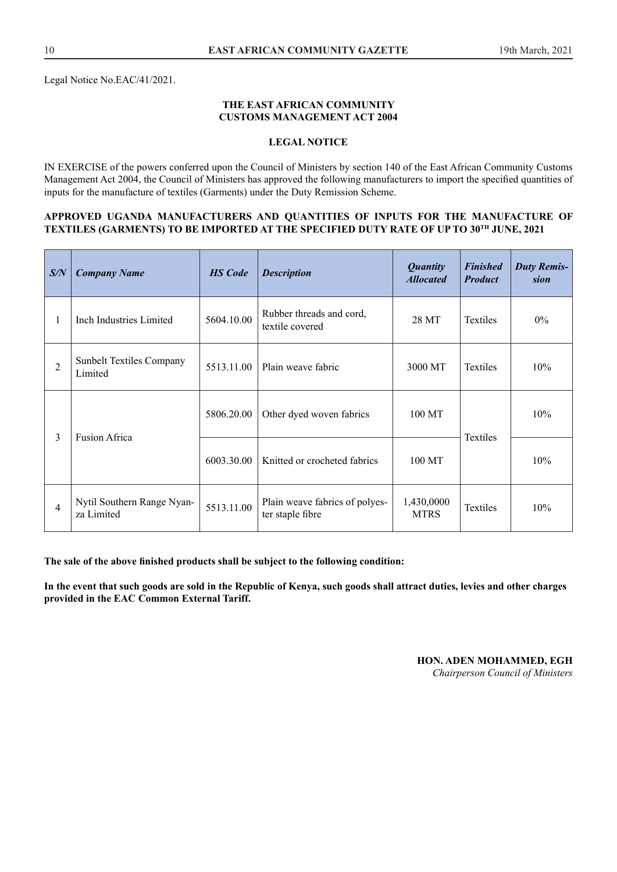#### **THE EAST AFRICAN COMMUNITY CUSTOMS MANAGEMENT ACT 2004**

#### **LEGAL NOTICE**

IN EXERCISE of the powers conferred upon the Council of Ministers by section 140 of the East African Community Customs Management Act 2004, the Council of Ministers has approved the following manufacturers to import the specifed quantities of inputs for the manufacture of textiles (Garments) under the Duty Remission Scheme.

#### **APPROVED UGANDA MANUFACTURERS AND QUANTITIES OF INPUTS FOR THE MANUFACTURE OF TEXTILES (GARMENTS) TO BE IMPORTED AT THE SPECIFIED DUTY RATE OF UP TO 30TH JUNE, 2021**

| S/N            | <b>Company Name</b>                        | <b>HS</b> Code | <b>Description</b>                                 | <b>Quantity</b><br><b>Allocated</b> | <b>Finished</b><br><b>Product</b> | <b>Duty Remis-</b><br>sion |
|----------------|--------------------------------------------|----------------|----------------------------------------------------|-------------------------------------|-----------------------------------|----------------------------|
| 1              | Inch Industries Limited                    | 5604.10.00     | Rubber threads and cord,<br>textile covered        | 28 MT                               | <b>Textiles</b>                   | $0\%$                      |
| $\overline{2}$ | <b>Sunbelt Textiles Company</b><br>Limited | 5513.11.00     | Plain weave fabric                                 | 3000 MT                             | <b>Textiles</b>                   | 10%                        |
| 3              | <b>Fusion Africa</b>                       | 5806.20.00     | Other dyed woven fabrics                           | 100 MT                              | <b>Textiles</b>                   | 10%                        |
|                |                                            | 6003.30.00     | Knitted or crocheted fabrics                       | 100 MT                              |                                   | 10%                        |
| 4              | Nytil Southern Range Nyan-<br>za Limited   | 5513.11.00     | Plain weave fabrics of polyes-<br>ter staple fibre | 1,430,0000<br><b>MTRS</b>           | <b>Textiles</b>                   | 10%                        |

**The sale of the above fnished products shall be subject to the following condition:**

**In the event that such goods are sold in the Republic of Kenya, such goods shall attract duties, levies and other charges provided in the EAC Common External Tariff.** 

#### **HON. ADEN MOHAMMED, EGH**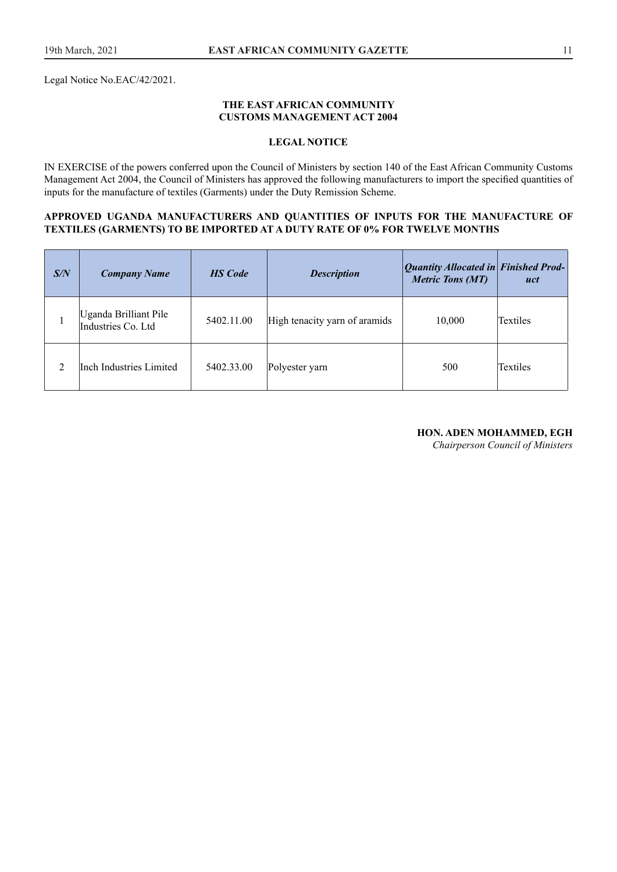Legal Notice No.EAC/42/2021.

#### **THE EAST AFRICAN COMMUNITY CUSTOMS MANAGEMENT ACT 2004**

## **LEGAL NOTICE**

IN EXERCISE of the powers conferred upon the Council of Ministers by section 140 of the East African Community Customs Management Act 2004, the Council of Ministers has approved the following manufacturers to import the specifed quantities of inputs for the manufacture of textiles (Garments) under the Duty Remission Scheme.

#### **APPROVED UGANDA MANUFACTURERS AND QUANTITIES OF INPUTS FOR THE MANUFACTURE OF TEXTILES (GARMENTS) TO BE IMPORTED AT A DUTY RATE OF 0% FOR TWELVE MONTHS**

| S/N | <b>Company Name</b>                         | <b>HS</b> Code | <b>Description</b>            | Quantity Allocated in Finished Prod-<br><b>Metric Tons (MT)</b> | uct             |
|-----|---------------------------------------------|----------------|-------------------------------|-----------------------------------------------------------------|-----------------|
|     | Uganda Brilliant Pile<br>Industries Co. Ltd | 5402.11.00     | High tenacity yarn of aramids | 10,000                                                          | <b>Textiles</b> |
|     | Inch Industries Limited                     | 5402.33.00     | Polyester yarn                | 500                                                             | Textiles        |

#### **HON. ADEN MOHAMMED, EGH**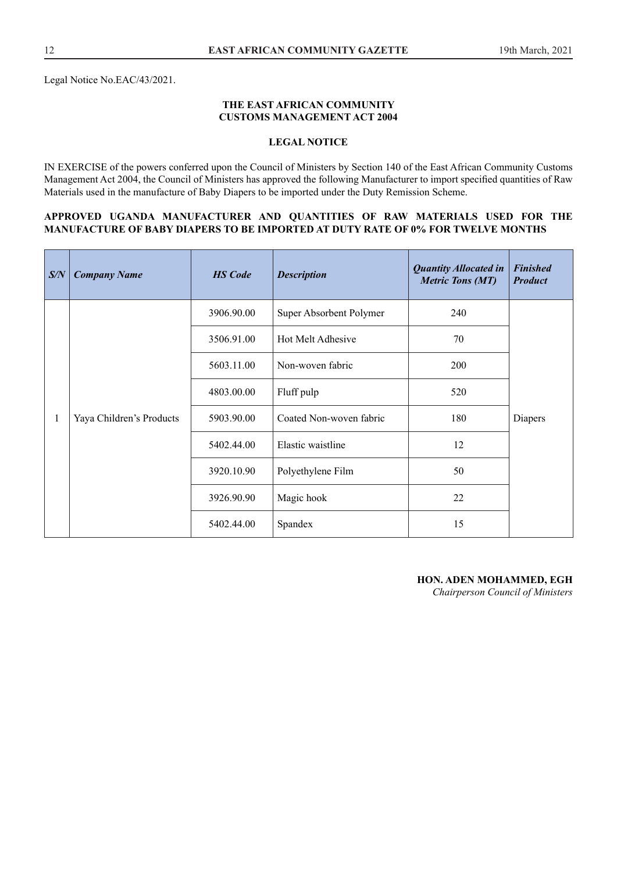#### **THE EAST AFRICAN COMMUNITY CUSTOMS MANAGEMENT ACT 2004**

## **LEGAL NOTICE**

IN EXERCISE of the powers conferred upon the Council of Ministers by Section 140 of the East African Community Customs Management Act 2004, the Council of Ministers has approved the following Manufacturer to import specifed quantities of Raw Materials used in the manufacture of Baby Diapers to be imported under the Duty Remission Scheme.

#### **APPROVED UGANDA MANUFACTURER AND QUANTITIES OF RAW MATERIALS USED FOR THE MANUFACTURE OF BABY DIAPERS TO BE IMPORTED AT DUTY RATE OF 0% FOR TWELVE MONTHS**

| S/N | <b>Company Name</b>      | <b>HS</b> Code | <b>Description</b>      | <b>Quantity Allocated in</b><br><b>Metric Tons (MT)</b> | <b>Finished</b><br><b>Product</b> |  |
|-----|--------------------------|----------------|-------------------------|---------------------------------------------------------|-----------------------------------|--|
|     |                          | 3906.90.00     | Super Absorbent Polymer | 240                                                     |                                   |  |
|     |                          | 3506.91.00     | Hot Melt Adhesive       | 70                                                      |                                   |  |
|     | Yaya Children's Products |                | 5603.11.00              | Non-woven fabric                                        | 200                               |  |
|     |                          |                | 4803.00.00              | Fluff pulp                                              | 520                               |  |
|     |                          | 5903.90.00     | Coated Non-woven fabric | 180                                                     | Diapers                           |  |
|     |                          | 5402.44.00     | Elastic waistline       | 12                                                      |                                   |  |
|     |                          | 3920.10.90     | Polyethylene Film       | 50                                                      |                                   |  |
|     |                          | 3926.90.90     | Magic hook              | 22                                                      |                                   |  |
|     |                          | 5402.44.00     | Spandex                 | 15                                                      |                                   |  |

**HON. ADEN MOHAMMED, EGH**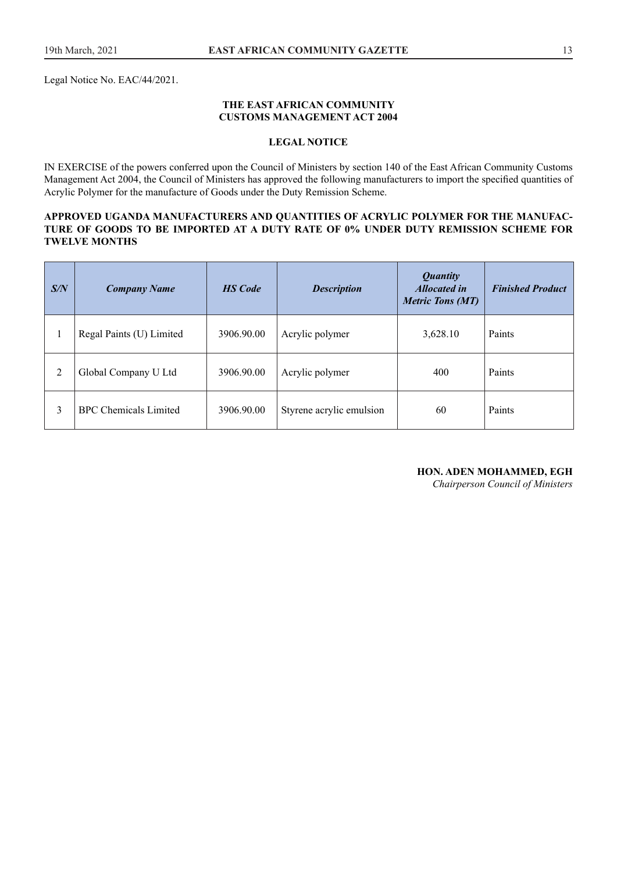Legal Notice No. EAC/44/2021.

#### **THE EAST AFRICAN COMMUNITY CUSTOMS MANAGEMENT ACT 2004**

#### **LEGAL NOTICE**

IN EXERCISE of the powers conferred upon the Council of Ministers by section 140 of the East African Community Customs Management Act 2004, the Council of Ministers has approved the following manufacturers to import the specifed quantities of Acrylic Polymer for the manufacture of Goods under the Duty Remission Scheme.

#### **APPROVED UGANDA MANUFACTURERS AND QUANTITIES OF ACRYLIC POLYMER FOR THE MANUFAC-TURE OF GOODS TO BE IMPORTED AT A DUTY RATE OF 0% UNDER DUTY REMISSION SCHEME FOR TWELVE MONTHS**

| S/N | <b>Company Name</b>          | <b>HS</b> Code | <b>Description</b>       | <b>Quantity</b><br><b>Allocated in</b><br><b>Metric Tons (MT)</b> | <b>Finished Product</b> |
|-----|------------------------------|----------------|--------------------------|-------------------------------------------------------------------|-------------------------|
|     | Regal Paints (U) Limited     | 3906.90.00     | Acrylic polymer          | 3,628.10                                                          | Paints                  |
| 2   | Global Company U Ltd         | 3906.90.00     | Acrylic polymer          | 400                                                               | Paints                  |
| 3   | <b>BPC</b> Chemicals Limited | 3906.90.00     | Styrene acrylic emulsion | 60                                                                | Paints                  |

## **HON. ADEN MOHAMMED, EGH**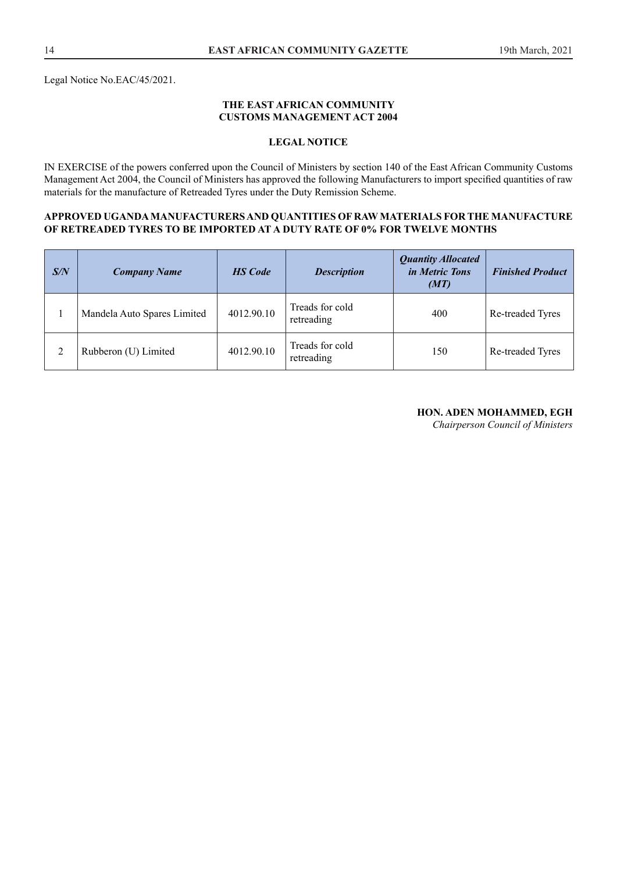Legal Notice No.EAC/45/2021.

#### **THE EAST AFRICAN COMMUNITY CUSTOMS MANAGEMENT ACT 2004**

## **LEGAL NOTICE**

IN EXERCISE of the powers conferred upon the Council of Ministers by section 140 of the East African Community Customs Management Act 2004, the Council of Ministers has approved the following Manufacturers to import specifed quantities of raw materials for the manufacture of Retreaded Tyres under the Duty Remission Scheme.

#### **APPROVED UGANDA MANUFACTURERS AND QUANTITIES OF RAW MATERIALS FOR THE MANUFACTURE OF RETREADED TYRES TO BE IMPORTED AT A DUTY RATE OF 0% FOR TWELVE MONTHS**

| S/N | <b>Company Name</b>         | <b>HS</b> Code | <b>Description</b>            | <b>Quantity Allocated</b><br>in Metric Tons<br>(MT) | <b>Finished Product</b> |
|-----|-----------------------------|----------------|-------------------------------|-----------------------------------------------------|-------------------------|
|     | Mandela Auto Spares Limited | 4012.90.10     | Treads for cold<br>retreading | 400                                                 | Re-treaded Tyres        |
|     | Rubberon (U) Limited        | 4012.90.10     | Treads for cold<br>retreading | 150                                                 | Re-treaded Tyres        |

#### **HON. ADEN MOHAMMED, EGH**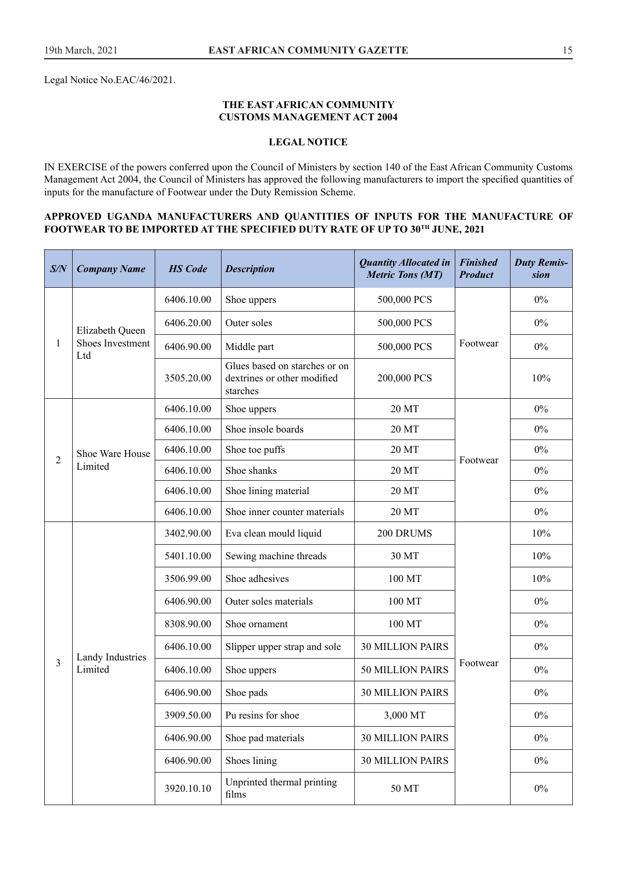Legal Notice No.EAC/46/2021.

#### **THE EAST AFRICAN COMMUNITY CUSTOMS MANAGEMENT ACT 2004**

## **LEGAL NOTICE**

IN EXERCISE of the powers conferred upon the Council of Ministers by section 140 of the East African Community Customs Management Act 2004, the Council of Ministers has approved the following manufacturers to import the specifed quantities of inputs for the manufacture of Footwear under the Duty Remission Scheme.

#### **APPROVED UGANDA MANUFACTURERS AND QUANTITIES OF INPUTS FOR THE MANUFACTURE OF FOOTWEAR TO BE IMPORTED AT THE SPECIFIED DUTY RATE OF UP TO 30TH JUNE, 2021**

| S/N            | <b>Company Name</b>     | <b>HS</b> Code | <b>Description</b>                                                       | <b>Quantity Allocated in</b><br><b>Metric Tons (MT)</b> | <b>Finished</b><br><b>Product</b> | <b>Duty Remis-</b><br>sion |
|----------------|-------------------------|----------------|--------------------------------------------------------------------------|---------------------------------------------------------|-----------------------------------|----------------------------|
|                |                         | 6406.10.00     | Shoe uppers                                                              | 500,000 PCS                                             |                                   | $0\%$                      |
|                | Elizabeth Queen         | 6406.20.00     | Outer soles                                                              | 500,000 PCS                                             |                                   | $0\%$                      |
| 1              | Shoes Investment<br>Ltd | 6406.90.00     | Middle part                                                              | 500,000 PCS                                             | Footwear                          | $0\%$                      |
|                |                         | 3505.20.00     | Glues based on starches or on<br>dextrines or other modified<br>starches | 200,000 PCS                                             |                                   | 10%                        |
|                |                         | 6406.10.00     | Shoe uppers                                                              | 20 MT                                                   |                                   | $0\%$                      |
|                |                         | 6406.10.00     | Shoe insole boards                                                       | 20 MT                                                   |                                   | $0\%$                      |
| $\overline{2}$ | Shoe Ware House         | 6406.10.00     | Shoe toe puffs                                                           | 20 MT                                                   | Footwear                          | $0\%$                      |
|                | Limited                 | 6406.10.00     | Shoe shanks                                                              | 20 MT                                                   |                                   | 0%                         |
|                |                         | 6406.10.00     | Shoe lining material                                                     | 20 MT                                                   |                                   | $0\%$                      |
|                |                         | 6406.10.00     | Shoe inner counter materials                                             | 20 MT                                                   |                                   | $0\%$                      |
|                |                         | 3402.90.00     | Eva clean mould liquid                                                   | 200 DRUMS                                               |                                   | 10%                        |
|                |                         | 5401.10.00     | Sewing machine threads<br>30 MT                                          |                                                         |                                   | 10%                        |
|                |                         | 3506.99.00     | Shoe adhesives                                                           | 100 MT                                                  |                                   | 10%                        |
|                |                         | 6406.90.00     | Outer soles materials                                                    | 100 MT                                                  |                                   | $0\%$                      |
|                |                         | 8308.90.00     | Shoe ornament                                                            | 100 MT                                                  |                                   | $0\%$                      |
|                | Landy Industries        | 6406.10.00     | Slipper upper strap and sole                                             | <b>30 MILLION PAIRS</b>                                 |                                   | $0\%$                      |
| $\overline{3}$ | Limited                 | 6406.10.00     | Shoe uppers                                                              | <b>50 MILLION PAIRS</b>                                 | Footwear                          | $0\%$                      |
|                |                         | 6406.90.00     | Shoe pads                                                                | <b>30 MILLION PAIRS</b>                                 |                                   | $0\%$                      |
|                |                         | 3909.50.00     | Pu resins for shoe                                                       | 3,000 MT                                                |                                   | $0\%$                      |
|                |                         | 6406.90.00     | Shoe pad materials                                                       | <b>30 MILLION PAIRS</b>                                 |                                   | $0\%$                      |
|                |                         | 6406.90.00     | Shoes lining                                                             | <b>30 MILLION PAIRS</b>                                 |                                   | $0\%$                      |
|                |                         | 3920.10.10     | Unprinted thermal printing<br>films                                      | 50 MT                                                   |                                   | $0\%$                      |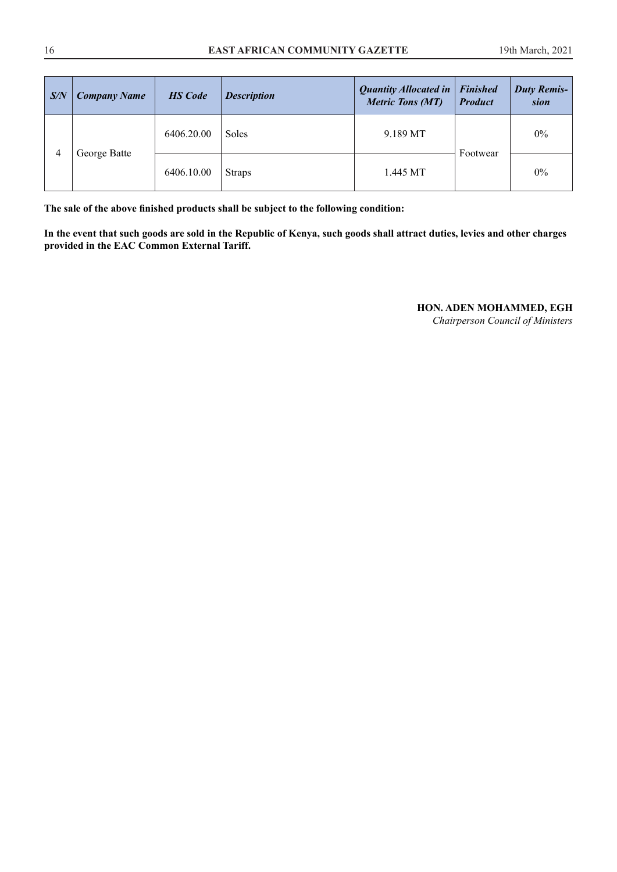| S/N               | <b>Company Name</b> | <b>HS</b> Code | <b>Description</b> | <b>Quantity Allocated in</b><br><b>Metric Tons (MT)</b> | <b>Finished</b><br><b>Product</b> | <b>Duty Remis-</b><br>sion |
|-------------------|---------------------|----------------|--------------------|---------------------------------------------------------|-----------------------------------|----------------------------|
| 4<br>George Batte | 6406.20.00          | <b>Soles</b>   | 9.189 MT           |                                                         | 0%                                |                            |
|                   |                     | 6406.10.00     | <b>Straps</b>      | 1.445 MT                                                | Footwear                          | 0%                         |

**The sale of the above fnished products shall be subject to the following condition:**

**In the event that such goods are sold in the Republic of Kenya, such goods shall attract duties, levies and other charges provided in the EAC Common External Tariff.** 

**HON. ADEN MOHAMMED, EGH**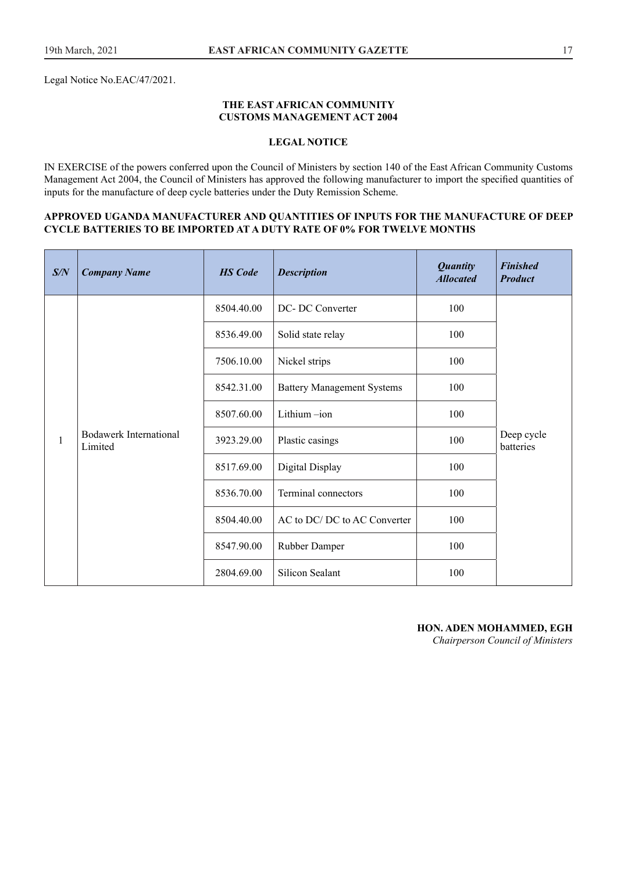Legal Notice No.EAC/47/2021.

#### **THE EAST AFRICAN COMMUNITY CUSTOMS MANAGEMENT ACT 2004**

## **LEGAL NOTICE**

IN EXERCISE of the powers conferred upon the Council of Ministers by section 140 of the East African Community Customs Management Act 2004, the Council of Ministers has approved the following manufacturer to import the specifed quantities of inputs for the manufacture of deep cycle batteries under the Duty Remission Scheme.

#### **APPROVED UGANDA MANUFACTURER AND QUANTITIES OF INPUTS FOR THE MANUFACTURE OF DEEP CYCLE BATTERIES TO BE IMPORTED AT A DUTY RATE OF 0% FOR TWELVE MONTHS**

| S/N          | <b>Company Name</b>               | <b>HS</b> Code | <b>Description</b>                | <b>Quantity</b><br><b>Allocated</b> | <b>Finished</b><br><b>Product</b> |
|--------------|-----------------------------------|----------------|-----------------------------------|-------------------------------------|-----------------------------------|
|              |                                   | 8504.40.00     | DC-DC Converter                   | 100                                 |                                   |
|              |                                   | 8536.49.00     | Solid state relay                 | 100                                 |                                   |
|              |                                   | 7506.10.00     | Nickel strips                     | 100                                 |                                   |
|              |                                   | 8542.31.00     | <b>Battery Management Systems</b> | 100                                 |                                   |
|              |                                   | 8507.60.00     | Lithium -ion                      | 100                                 |                                   |
| $\mathbf{1}$ | Bodawerk International<br>Limited | 3923.29.00     | Plastic casings                   | 100                                 | Deep cycle<br>batteries           |
|              |                                   | 8517.69.00     | Digital Display                   | 100                                 |                                   |
|              |                                   | 8536.70.00     | Terminal connectors               | 100                                 |                                   |
|              |                                   | 8504.40.00     | AC to DC/ DC to AC Converter      | 100                                 |                                   |
|              |                                   | 8547.90.00     | Rubber Damper                     | 100                                 |                                   |
|              |                                   | 2804.69.00     | <b>Silicon Sealant</b>            | 100                                 |                                   |

# **HON. ADEN MOHAMMED, EGH**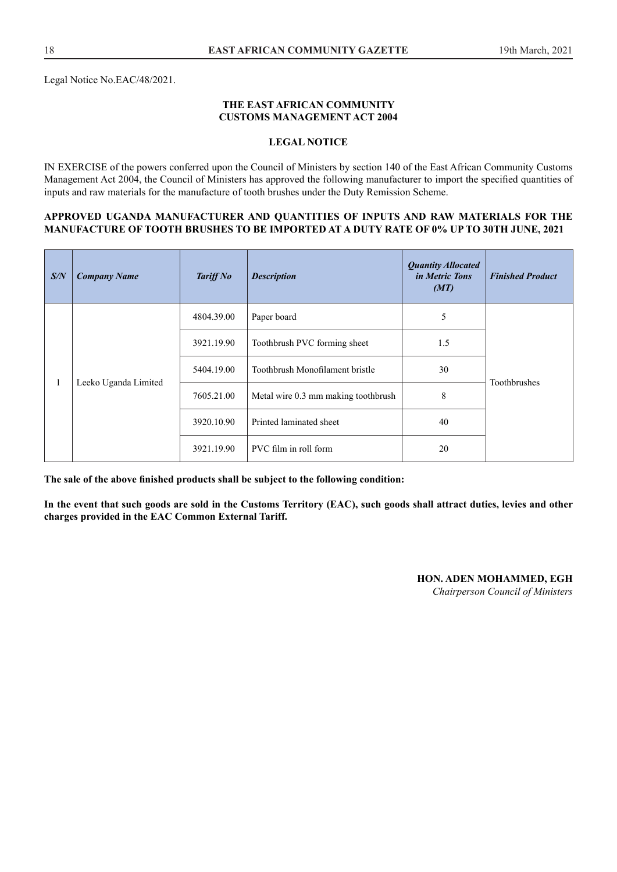#### **THE EAST AFRICAN COMMUNITY CUSTOMS MANAGEMENT ACT 2004**

#### **LEGAL NOTICE**

IN EXERCISE of the powers conferred upon the Council of Ministers by section 140 of the East African Community Customs Management Act 2004, the Council of Ministers has approved the following manufacturer to import the specifed quantities of inputs and raw materials for the manufacture of tooth brushes under the Duty Remission Scheme.

#### **APPROVED UGANDA MANUFACTURER AND QUANTITIES OF INPUTS AND RAW MATERIALS FOR THE MANUFACTURE OF TOOTH BRUSHES TO BE IMPORTED AT A DUTY RATE OF 0% UP TO 30TH JUNE, 2021**

| S/N | <b>Company Name</b>  | Tariff No  | <b>Description</b>                  | <b>Quantity Allocated</b><br><i>in Metric Tons</i><br>(MT) | <b>Finished Product</b> |  |
|-----|----------------------|------------|-------------------------------------|------------------------------------------------------------|-------------------------|--|
|     |                      | 4804.39.00 | Paper board                         | 5                                                          |                         |  |
|     |                      |            | 3921.19.90                          | Toothbrush PVC forming sheet                               | 1.5                     |  |
|     |                      | 5404.19.00 | Toothbrush Monofilament bristle     | 30                                                         |                         |  |
|     | Leeko Uganda Limited | 7605.21.00 | Metal wire 0.3 mm making toothbrush | 8                                                          | Toothbrushes            |  |
|     |                      | 3920.10.90 | Printed laminated sheet             | 40                                                         |                         |  |
|     |                      | 3921.19.90 | PVC film in roll form               | 20                                                         |                         |  |

**The sale of the above fnished products shall be subject to the following condition:** 

**In the event that such goods are sold in the Customs Territory (EAC), such goods shall attract duties, levies and other charges provided in the EAC Common External Tariff.**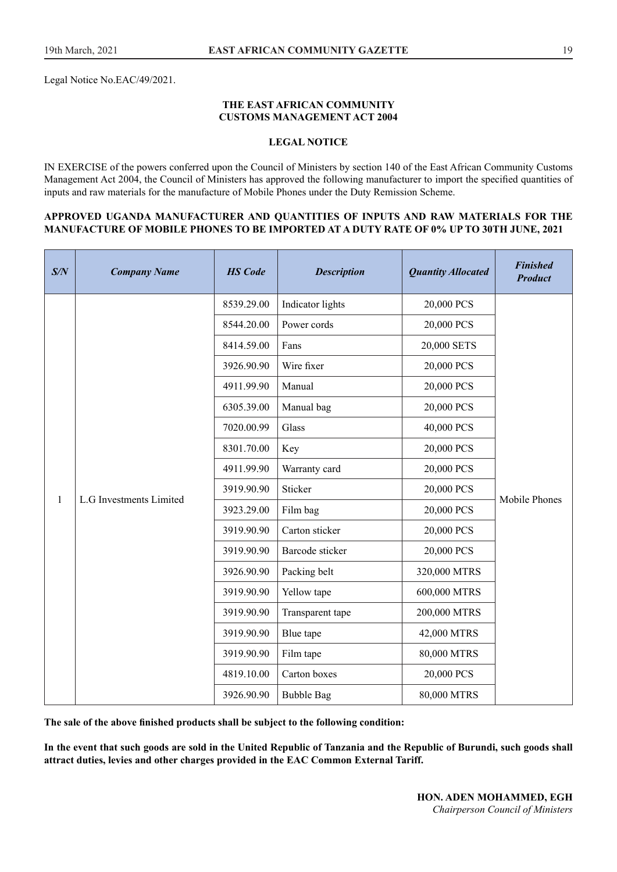Legal Notice No.EAC/49/2021.

#### **THE EAST AFRICAN COMMUNITY CUSTOMS MANAGEMENT ACT 2004**

#### **LEGAL NOTICE**

IN EXERCISE of the powers conferred upon the Council of Ministers by section 140 of the East African Community Customs Management Act 2004, the Council of Ministers has approved the following manufacturer to import the specifed quantities of inputs and raw materials for the manufacture of Mobile Phones under the Duty Remission Scheme.

#### **APPROVED UGANDA MANUFACTURER AND QUANTITIES OF INPUTS AND RAW MATERIALS FOR THE MANUFACTURE OF MOBILE PHONES TO BE IMPORTED AT A DUTY RATE OF 0% UP TO 30TH JUNE, 2021**

| S/N          | <b>Company Name</b>     | <b>HS</b> Code | <b>Description</b> | <b>Quantity Allocated</b> | <b>Finished</b><br><b>Product</b> |
|--------------|-------------------------|----------------|--------------------|---------------------------|-----------------------------------|
|              |                         | 8539.29.00     | Indicator lights   | 20,000 PCS                |                                   |
|              |                         | 8544.20.00     | Power cords        | 20,000 PCS                |                                   |
|              |                         | 8414.59.00     | Fans               | 20,000 SETS               |                                   |
|              |                         | 3926.90.90     | Wire fixer         | 20,000 PCS                |                                   |
|              |                         | 4911.99.90     | Manual             | 20,000 PCS                |                                   |
|              |                         | 6305.39.00     | Manual bag         | 20,000 PCS                |                                   |
|              |                         | 7020.00.99     | Glass              | 40,000 PCS                |                                   |
|              |                         | 8301.70.00     | Key                | 20,000 PCS                |                                   |
|              |                         | 4911.99.90     | Warranty card      | 20,000 PCS                |                                   |
| $\mathbf{1}$ | L.G Investments Limited | 3919.90.90     | Sticker            | 20,000 PCS                | Mobile Phones                     |
|              |                         | 3923.29.00     | Film bag           | 20,000 PCS                |                                   |
|              |                         | 3919.90.90     | Carton sticker     | 20,000 PCS                |                                   |
|              |                         | 3919.90.90     | Barcode sticker    | 20,000 PCS                |                                   |
|              |                         | 3926.90.90     | Packing belt       | 320,000 MTRS              |                                   |
|              |                         | 3919.90.90     | Yellow tape        | 600,000 MTRS              |                                   |
|              |                         | 3919.90.90     | Transparent tape   | 200,000 MTRS              |                                   |
|              |                         | 3919.90.90     | Blue tape          | 42,000 MTRS               |                                   |
|              |                         | 3919.90.90     | Film tape          | 80,000 MTRS               |                                   |
|              |                         | 4819.10.00     | Carton boxes       | 20,000 PCS                |                                   |
|              |                         | 3926.90.90     | <b>Bubble Bag</b>  | 80,000 MTRS               |                                   |

**The sale of the above fnished products shall be subject to the following condition:** 

**In the event that such goods are sold in the United Republic of Tanzania and the Republic of Burundi, such goods shall attract duties, levies and other charges provided in the EAC Common External Tariff.**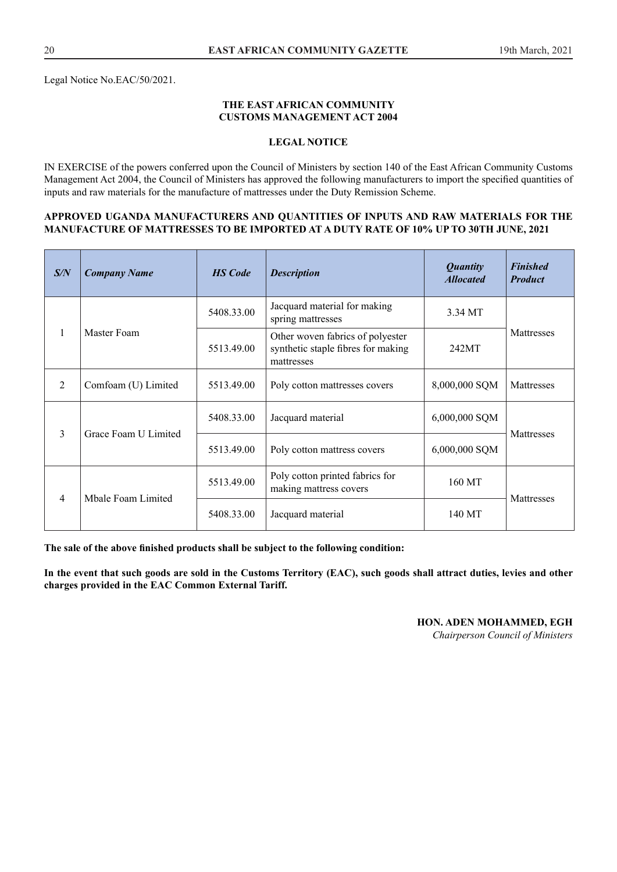#### **THE EAST AFRICAN COMMUNITY CUSTOMS MANAGEMENT ACT 2004**

#### **LEGAL NOTICE**

IN EXERCISE of the powers conferred upon the Council of Ministers by section 140 of the East African Community Customs Management Act 2004, the Council of Ministers has approved the following manufacturers to import the specifed quantities of inputs and raw materials for the manufacture of mattresses under the Duty Remission Scheme.

#### **APPROVED UGANDA MANUFACTURERS AND QUANTITIES OF INPUTS AND RAW MATERIALS FOR THE MANUFACTURE OF MATTRESSES TO BE IMPORTED AT A DUTY RATE OF 10% UP TO 30TH JUNE, 2021**

| S/N            | <b>Company Name</b>  | <b>HS</b> Code | <b>Description</b>                                                                   | <b>Quantity</b><br><b>Allocated</b> | <b>Finished</b><br><b>Product</b> |
|----------------|----------------------|----------------|--------------------------------------------------------------------------------------|-------------------------------------|-----------------------------------|
|                |                      | 5408.33.00     | Jacquard material for making<br>spring mattresses                                    | 3.34 MT                             |                                   |
| 1              | Master Foam          | 5513.49.00     | Other woven fabrics of polyester<br>synthetic staple fibres for making<br>mattresses | 242MT                               | Mattresses                        |
| 2              | Comfoam (U) Limited  | 5513.49.00     | 8,000,000 SQM<br>Poly cotton mattresses covers                                       |                                     | Mattresses                        |
| 3              | Grace Foam U Limited | 5408.33.00     | Jacquard material                                                                    | 6,000,000 SQM                       | Mattresses                        |
|                |                      | 5513.49.00     | Poly cotton mattress covers                                                          | 6,000,000 SQM                       |                                   |
| $\overline{4}$ |                      | 5513.49.00     | Poly cotton printed fabrics for<br>making mattress covers                            | 160 MT                              |                                   |
|                | Mbale Foam Limited   | 5408.33.00     | Jacquard material                                                                    | 140 MT                              | Mattresses                        |

**The sale of the above fnished products shall be subject to the following condition:** 

**In the event that such goods are sold in the Customs Territory (EAC), such goods shall attract duties, levies and other charges provided in the EAC Common External Tariff.**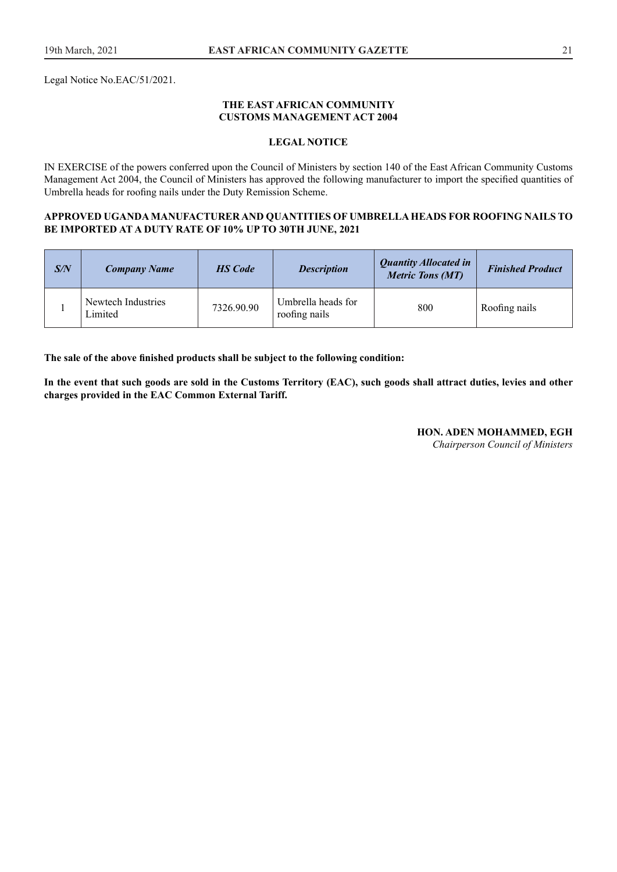Legal Notice No.EAC/51/2021.

#### **THE EAST AFRICAN COMMUNITY CUSTOMS MANAGEMENT ACT 2004**

#### **LEGAL NOTICE**

IN EXERCISE of the powers conferred upon the Council of Ministers by section 140 of the East African Community Customs Management Act 2004, the Council of Ministers has approved the following manufacturer to import the specifed quantities of Umbrella heads for roofng nails under the Duty Remission Scheme.

#### **APPROVED UGANDA MANUFACTURER AND QUANTITIES OF UMBRELLA HEADS FOR ROOFING NAILS TO BE IMPORTED AT A DUTY RATE OF 10% UP TO 30TH JUNE, 2021**

| S/N | Company Name                  | <b>HS</b> Code | <b>Description</b>                  | <b>Quantity Allocated in</b><br><b>Metric Tons (MT)</b> | <b>Finished Product</b> |
|-----|-------------------------------|----------------|-------------------------------------|---------------------------------------------------------|-------------------------|
|     | Newtech Industries<br>Limited | 7326.90.90     | Umbrella heads for<br>roofing nails | 800                                                     | Roofing nails           |

**The sale of the above fnished products shall be subject to the following condition:** 

**In the event that such goods are sold in the Customs Territory (EAC), such goods shall attract duties, levies and other charges provided in the EAC Common External Tariff.**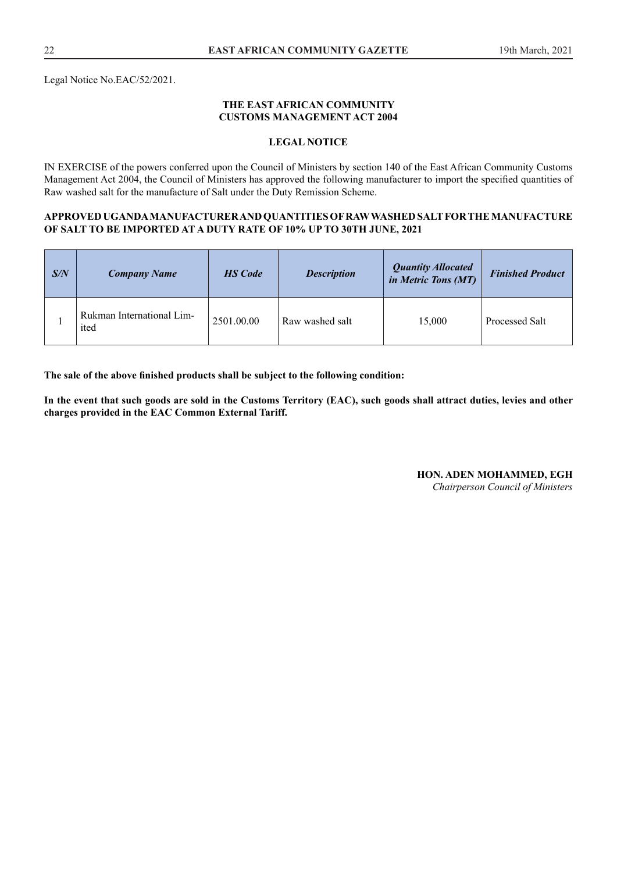Legal Notice No.EAC/52/2021.

#### **THE EAST AFRICAN COMMUNITY CUSTOMS MANAGEMENT ACT 2004**

#### **LEGAL NOTICE**

IN EXERCISE of the powers conferred upon the Council of Ministers by section 140 of the East African Community Customs Management Act 2004, the Council of Ministers has approved the following manufacturer to import the specifed quantities of Raw washed salt for the manufacture of Salt under the Duty Remission Scheme.

#### **APPROVED UGANDA MANUFACTURER AND QUANTITIES OF RAW WASHED SALT FOR THE MANUFACTURE OF SALT TO BE IMPORTED AT A DUTY RATE OF 10% UP TO 30TH JUNE, 2021**

| S/N | <b>Company Name</b>               | <b>HS</b> Code | <b>Description</b> | <b>Quantity Allocated</b><br>in Metric Tons (MT) | <b>Finished Product</b> |
|-----|-----------------------------------|----------------|--------------------|--------------------------------------------------|-------------------------|
|     | Rukman International Lim-<br>ited | 2501.00.00     | Raw washed salt    | 15,000                                           | Processed Salt          |

**The sale of the above fnished products shall be subject to the following condition:** 

**In the event that such goods are sold in the Customs Territory (EAC), such goods shall attract duties, levies and other charges provided in the EAC Common External Tariff.** 

**HON. ADEN MOHAMMED, EGH**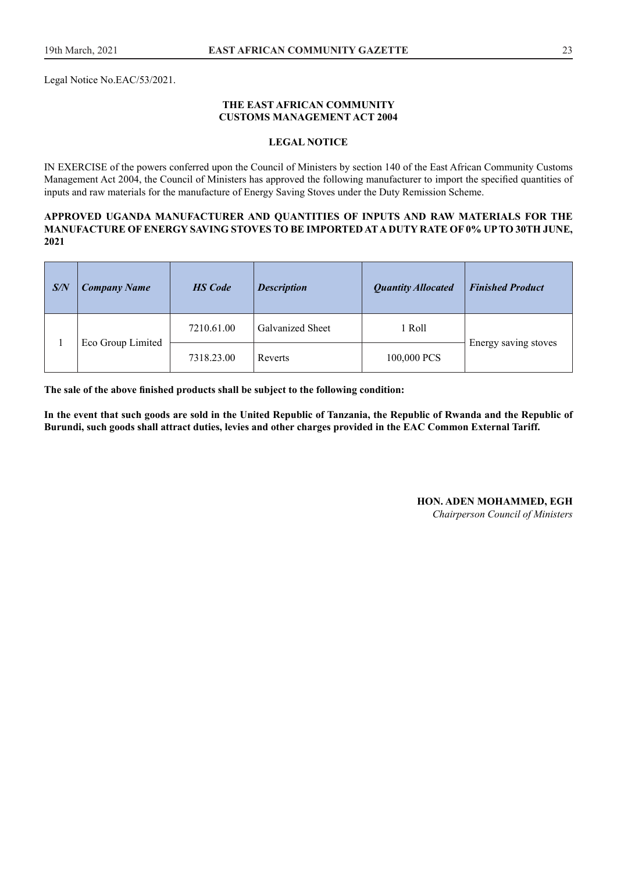Legal Notice No.EAC/53/2021.

#### **THE EAST AFRICAN COMMUNITY CUSTOMS MANAGEMENT ACT 2004**

#### **LEGAL NOTICE**

IN EXERCISE of the powers conferred upon the Council of Ministers by section 140 of the East African Community Customs Management Act 2004, the Council of Ministers has approved the following manufacturer to import the specifed quantities of inputs and raw materials for the manufacture of Energy Saving Stoves under the Duty Remission Scheme.

#### **APPROVED UGANDA MANUFACTURER AND QUANTITIES OF INPUTS AND RAW MATERIALS FOR THE MANUFACTURE OF ENERGY SAVING STOVES TO BE IMPORTED AT A DUTY RATE OF 0% UP TO 30TH JUNE, 2021**

| S/N | <b>Company Name</b> | <b>HS</b> Code | <b>Description</b>      | <b>Quantity Allocated</b> | <b>Finished Product</b> |
|-----|---------------------|----------------|-------------------------|---------------------------|-------------------------|
|     | Eco Group Limited   | 7210.61.00     | <b>Galvanized Sheet</b> | 1 Roll                    |                         |
|     |                     | 7318.23.00     | Reverts                 | 100,000 PCS               | Energy saving stoves    |

**The sale of the above fnished products shall be subject to the following condition:** 

**In the event that such goods are sold in the United Republic of Tanzania, the Republic of Rwanda and the Republic of Burundi, such goods shall attract duties, levies and other charges provided in the EAC Common External Tariff.**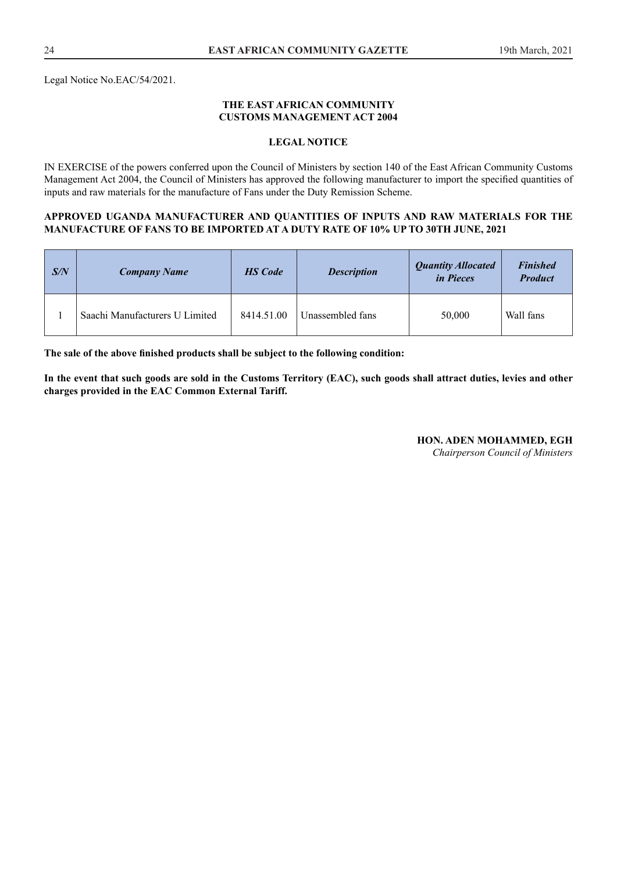Legal Notice No.EAC/54/2021.

#### **THE EAST AFRICAN COMMUNITY CUSTOMS MANAGEMENT ACT 2004**

#### **LEGAL NOTICE**

IN EXERCISE of the powers conferred upon the Council of Ministers by section 140 of the East African Community Customs Management Act 2004, the Council of Ministers has approved the following manufacturer to import the specifed quantities of inputs and raw materials for the manufacture of Fans under the Duty Remission Scheme.

#### **APPROVED UGANDA MANUFACTURER AND QUANTITIES OF INPUTS AND RAW MATERIALS FOR THE MANUFACTURE OF FANS TO BE IMPORTED AT A DUTY RATE OF 10% UP TO 30TH JUNE, 2021**

| S/N | <b>Company Name</b>            | <b>HS</b> Code | <b>Description</b> | <b>Quantity Allocated</b><br><i>in Pieces</i> | <b>Finished</b><br><b>Product</b> |
|-----|--------------------------------|----------------|--------------------|-----------------------------------------------|-----------------------------------|
|     | Saachi Manufacturers U Limited | 8414.51.00     | Unassembled fans   | 50,000                                        | Wall fans                         |

**The sale of the above fnished products shall be subject to the following condition:** 

**In the event that such goods are sold in the Customs Territory (EAC), such goods shall attract duties, levies and other charges provided in the EAC Common External Tariff.**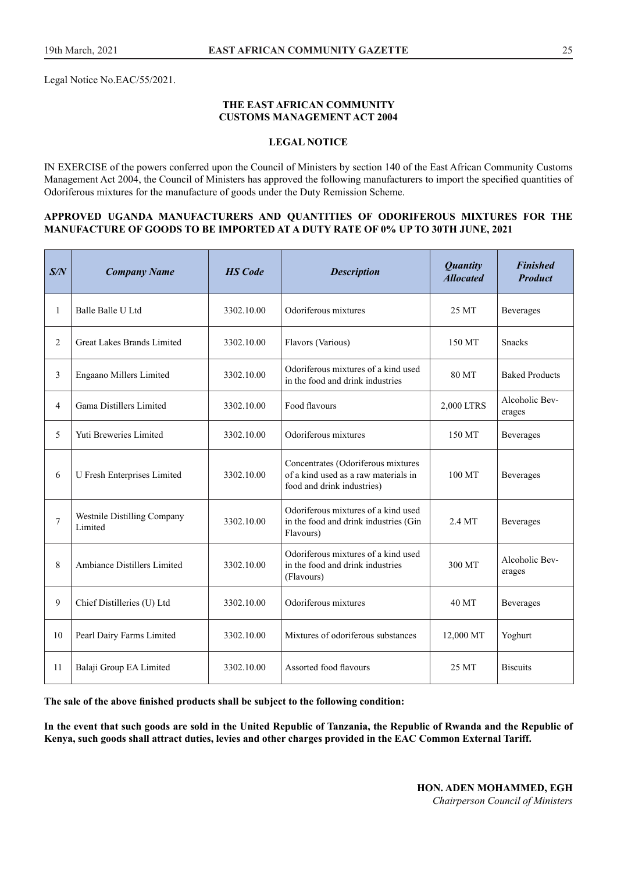Legal Notice No.EAC/55/2021.

#### **THE EAST AFRICAN COMMUNITY CUSTOMS MANAGEMENT ACT 2004**

#### **LEGAL NOTICE**

IN EXERCISE of the powers conferred upon the Council of Ministers by section 140 of the East African Community Customs Management Act 2004, the Council of Ministers has approved the following manufacturers to import the specifed quantities of Odoriferous mixtures for the manufacture of goods under the Duty Remission Scheme.

#### **APPROVED UGANDA MANUFACTURERS AND QUANTITIES OF ODORIFEROUS MIXTURES FOR THE MANUFACTURE OF GOODS TO BE IMPORTED AT A DUTY RATE OF 0% UP TO 30TH JUNE, 2021**

| S/N            | <b>Company Name</b>                                               | <b>HS</b> Code | <b>Description</b>                                                                                       | <b>Quantity</b><br><b>Allocated</b> | <b>Finished</b><br><b>Product</b> |
|----------------|-------------------------------------------------------------------|----------------|----------------------------------------------------------------------------------------------------------|-------------------------------------|-----------------------------------|
| 1              | Balle Balle U Ltd                                                 | 3302.10.00     | Odoriferous mixtures                                                                                     | 25 MT                               | <b>Beverages</b>                  |
| $\overline{2}$ | <b>Great Lakes Brands Limited</b>                                 | 3302.10.00     | Flavors (Various)                                                                                        | 150 MT                              | <b>Snacks</b>                     |
| 3              | Engaano Millers Limited                                           | 3302.10.00     | Odoriferous mixtures of a kind used<br>in the food and drink industries                                  | 80 MT                               | <b>Baked Products</b>             |
| $\overline{4}$ | Food flavours<br>Gama Distillers Limited<br>3302.10.00            |                |                                                                                                          | 2,000 LTRS                          | Alcoholic Bev-<br>erages          |
| 5              | Yuti Breweries Limited                                            | 3302.10.00     | Odoriferous mixtures                                                                                     | 150 MT                              | Beverages                         |
| 6              | U Fresh Enterprises Limited                                       | 3302.10.00     | Concentrates (Odoriferous mixtures<br>of a kind used as a raw materials in<br>food and drink industries) | 100 MT                              | Beverages                         |
| $\overline{7}$ | Westnile Distilling Company<br>3302.10.00<br>Limited<br>Flavours) |                | Odoriferous mixtures of a kind used<br>in the food and drink industries (Gin                             | 2.4 MT                              | Beverages                         |
| 8              | Ambiance Distillers Limited                                       | 3302.10.00     | Odoriferous mixtures of a kind used<br>in the food and drink industries<br>(Flavours)                    | 300 MT                              | Alcoholic Bev-<br>erages          |
| 9              | Chief Distilleries (U) Ltd                                        | 3302.10.00     | Odoriferous mixtures                                                                                     | 40 MT                               | <b>Beverages</b>                  |
| 10             | Pearl Dairy Farms Limited                                         | 3302.10.00     | Mixtures of odoriferous substances                                                                       | 12,000 MT                           | Yoghurt                           |
| 11             | Balaji Group EA Limited                                           | 3302.10.00     | Assorted food flavours                                                                                   | 25 MT                               | <b>Biscuits</b>                   |

**The sale of the above fnished products shall be subject to the following condition:** 

**In the event that such goods are sold in the United Republic of Tanzania, the Republic of Rwanda and the Republic of Kenya, such goods shall attract duties, levies and other charges provided in the EAC Common External Tariff.**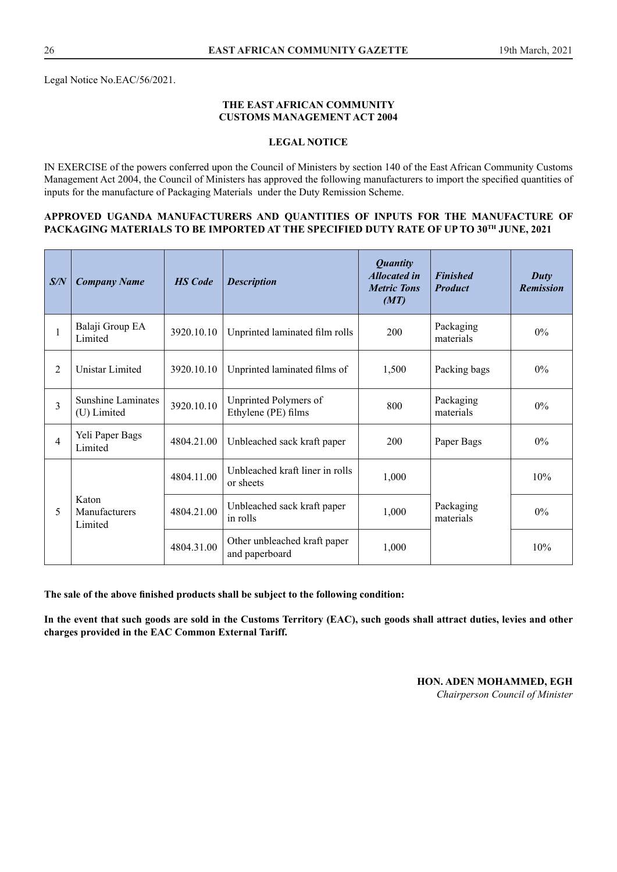Legal Notice No.EAC/56/2021.

#### **THE EAST AFRICAN COMMUNITY CUSTOMS MANAGEMENT ACT 2004**

#### **LEGAL NOTICE**

IN EXERCISE of the powers conferred upon the Council of Ministers by section 140 of the East African Community Customs Management Act 2004, the Council of Ministers has approved the following manufacturers to import the specifed quantities of inputs for the manufacture of Packaging Materials under the Duty Remission Scheme.

#### **APPROVED UGANDA MANUFACTURERS AND QUANTITIES OF INPUTS FOR THE MANUFACTURE OF PACKAGING MATERIALS TO BE IMPORTED AT THE SPECIFIED DUTY RATE OF UP TO 30TH JUNE, 2021**

| S/N            | <b>Company Name</b>                      | <b>HS</b> Code | <b>Description</b>                             | <b>Quantity</b><br><b>Allocated in</b><br><b>Metric Tons</b><br>(MT) | <b>Finished</b><br><b>Product</b> | Duty<br><b>Remission</b> |
|----------------|------------------------------------------|----------------|------------------------------------------------|----------------------------------------------------------------------|-----------------------------------|--------------------------|
| 1              | Balaji Group EA<br>Limited               | 3920.10.10     | Unprinted laminated film rolls                 | 200                                                                  | Packaging<br>materials            | $0\%$                    |
| $\overline{c}$ | Unistar Limited                          | 3920.10.10     | Unprinted laminated films of                   | 1,500                                                                | Packing bags                      | $0\%$                    |
| $\overline{3}$ | <b>Sunshine Laminates</b><br>(U) Limited | 3920.10.10     | Unprinted Polymers of<br>Ethylene (PE) films   | 800                                                                  | Packaging<br>materials            | $0\%$                    |
| 4              | Yeli Paper Bags<br>Limited               | 4804.21.00     | Unbleached sack kraft paper                    | 200                                                                  | Paper Bags                        | $0\%$                    |
|                | Katon<br>Manufacturers<br>Limited        | 4804.11.00     | Unbleached kraft liner in rolls<br>or sheets   | 1,000                                                                |                                   | 10%                      |
| 5              |                                          | 4804.21.00     | Unbleached sack kraft paper<br>in rolls        | 1,000                                                                | Packaging<br>materials            | $0\%$                    |
|                |                                          | 4804.31.00     | Other unbleached kraft paper<br>and paperboard | 1,000                                                                |                                   | 10%                      |

**The sale of the above fnished products shall be subject to the following condition:** 

**In the event that such goods are sold in the Customs Territory (EAC), such goods shall attract duties, levies and other charges provided in the EAC Common External Tariff.**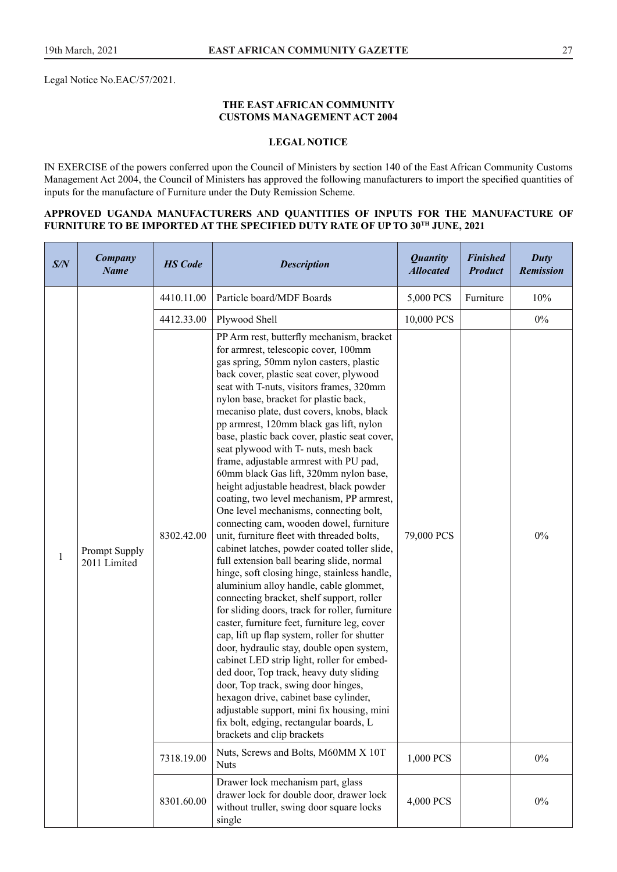Legal Notice No.EAC/57/2021.

#### **THE EAST AFRICAN COMMUNITY CUSTOMS MANAGEMENT ACT 2004**

## **LEGAL NOTICE**

IN EXERCISE of the powers conferred upon the Council of Ministers by section 140 of the East African Community Customs Management Act 2004, the Council of Ministers has approved the following manufacturers to import the specifed quantities of inputs for the manufacture of Furniture under the Duty Remission Scheme.

### **APPROVED UGANDA MANUFACTURERS AND QUANTITIES OF INPUTS FOR THE MANUFACTURE OF FURNITURE TO BE IMPORTED AT THE SPECIFIED DUTY RATE OF UP TO 30TH JUNE, 2021**

| S/N | Company<br><b>Name</b>        | <b>HS</b> Code | <b>Description</b>                                                                                                                                                                                                                                                                                                                                                                                                                                                                                                                                                                                                                                                                                                                                                                                                                                                                                                                                                                                                                                                                                                                                                                                                                                                                                                                                                                                                                                                                               | <b>Quantity</b><br><b>Allocated</b> | <b>Finished</b><br><b>Product</b> | Duty<br><b>Remission</b> |
|-----|-------------------------------|----------------|--------------------------------------------------------------------------------------------------------------------------------------------------------------------------------------------------------------------------------------------------------------------------------------------------------------------------------------------------------------------------------------------------------------------------------------------------------------------------------------------------------------------------------------------------------------------------------------------------------------------------------------------------------------------------------------------------------------------------------------------------------------------------------------------------------------------------------------------------------------------------------------------------------------------------------------------------------------------------------------------------------------------------------------------------------------------------------------------------------------------------------------------------------------------------------------------------------------------------------------------------------------------------------------------------------------------------------------------------------------------------------------------------------------------------------------------------------------------------------------------------|-------------------------------------|-----------------------------------|--------------------------|
|     |                               | 4410.11.00     | Particle board/MDF Boards                                                                                                                                                                                                                                                                                                                                                                                                                                                                                                                                                                                                                                                                                                                                                                                                                                                                                                                                                                                                                                                                                                                                                                                                                                                                                                                                                                                                                                                                        | 5,000 PCS                           | Furniture                         | 10%                      |
|     |                               | 4412.33.00     | Plywood Shell                                                                                                                                                                                                                                                                                                                                                                                                                                                                                                                                                                                                                                                                                                                                                                                                                                                                                                                                                                                                                                                                                                                                                                                                                                                                                                                                                                                                                                                                                    | 10,000 PCS                          |                                   | $0\%$                    |
| 1   | Prompt Supply<br>2011 Limited | 8302.42.00     | PP Arm rest, butterfly mechanism, bracket<br>for armrest, telescopic cover, 100mm<br>gas spring, 50mm nylon casters, plastic<br>back cover, plastic seat cover, plywood<br>seat with T-nuts, visitors frames, 320mm<br>nylon base, bracket for plastic back,<br>mecaniso plate, dust covers, knobs, black<br>pp armrest, 120mm black gas lift, nylon<br>base, plastic back cover, plastic seat cover,<br>seat plywood with T- nuts, mesh back<br>frame, adjustable armrest with PU pad,<br>60mm black Gas lift, 320mm nylon base,<br>height adjustable headrest, black powder<br>coating, two level mechanism, PP armrest,<br>One level mechanisms, connecting bolt,<br>connecting cam, wooden dowel, furniture<br>unit, furniture fleet with threaded bolts,<br>cabinet latches, powder coated toller slide,<br>full extension ball bearing slide, normal<br>hinge, soft closing hinge, stainless handle,<br>aluminium alloy handle, cable glommet,<br>connecting bracket, shelf support, roller<br>for sliding doors, track for roller, furniture<br>caster, furniture feet, furniture leg, cover<br>cap, lift up flap system, roller for shutter<br>door, hydraulic stay, double open system,<br>cabinet LED strip light, roller for embed-<br>ded door, Top track, heavy duty sliding<br>door, Top track, swing door hinges,<br>hexagon drive, cabinet base cylinder,<br>adjustable support, mini fix housing, mini<br>fix bolt, edging, rectangular boards, L<br>brackets and clip brackets | 79,000 PCS                          |                                   | $0\%$                    |
|     |                               | 7318.19.00     | Nuts, Screws and Bolts, M60MM X 10T<br><b>Nuts</b>                                                                                                                                                                                                                                                                                                                                                                                                                                                                                                                                                                                                                                                                                                                                                                                                                                                                                                                                                                                                                                                                                                                                                                                                                                                                                                                                                                                                                                               | 1,000 PCS                           |                                   | $0\%$                    |
|     |                               | 8301.60.00     | Drawer lock mechanism part, glass<br>drawer lock for double door, drawer lock<br>without truller, swing door square locks<br>single                                                                                                                                                                                                                                                                                                                                                                                                                                                                                                                                                                                                                                                                                                                                                                                                                                                                                                                                                                                                                                                                                                                                                                                                                                                                                                                                                              | 4,000 PCS                           |                                   | $0\%$                    |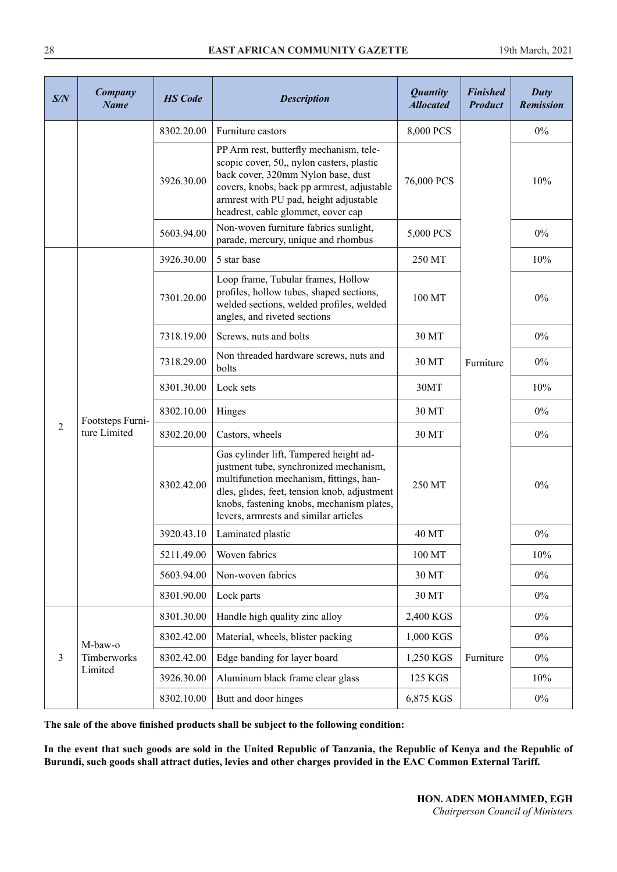| S/N            | <b>Company</b><br><b>Name</b>    | <b>HS</b> Code | <b>Description</b>                                                                                                                                                                                                                                                | <b>Quantity</b><br><b>Allocated</b> | <b>Finished</b><br><b>Product</b> | Duty<br><b>Remission</b> |
|----------------|----------------------------------|----------------|-------------------------------------------------------------------------------------------------------------------------------------------------------------------------------------------------------------------------------------------------------------------|-------------------------------------|-----------------------------------|--------------------------|
|                |                                  | 8302.20.00     | Furniture castors                                                                                                                                                                                                                                                 | 8,000 PCS                           |                                   | $0\%$                    |
|                |                                  | 3926.30.00     | PP Arm rest, butterfly mechanism, tele-<br>scopic cover, 50,, nylon casters, plastic<br>back cover, 320mm Nylon base, dust<br>covers, knobs, back pp armrest, adjustable<br>armrest with PU pad, height adjustable<br>headrest, cable glommet, cover cap          | 76,000 PCS                          |                                   | 10%                      |
|                |                                  | 5603.94.00     | Non-woven furniture fabrics sunlight,<br>parade, mercury, unique and rhombus                                                                                                                                                                                      | 5,000 PCS                           |                                   | $0\%$                    |
|                |                                  | 3926.30.00     | 5 star base                                                                                                                                                                                                                                                       | 250 MT                              |                                   | 10%                      |
|                |                                  | 7301.20.00     | Loop frame, Tubular frames, Hollow<br>profiles, hollow tubes, shaped sections,<br>welded sections, welded profiles, welded<br>angles, and riveted sections                                                                                                        | 100 MT                              |                                   | $0\%$                    |
|                | Footsteps Furni-<br>ture Limited | 7318.19.00     | Screws, nuts and bolts                                                                                                                                                                                                                                            | 30 MT                               | Furniture                         | $0\%$                    |
|                |                                  | 7318.29.00     | Non threaded hardware screws, nuts and<br>bolts                                                                                                                                                                                                                   | 30 MT                               |                                   | $0\%$                    |
|                |                                  | 8301.30.00     | Lock sets                                                                                                                                                                                                                                                         | 30MT                                |                                   | 10%                      |
|                |                                  | 8302.10.00     | Hinges                                                                                                                                                                                                                                                            | 30 MT                               |                                   | $0\%$                    |
| $\overline{2}$ |                                  | 8302.20.00     | Castors, wheels                                                                                                                                                                                                                                                   | 30 MT                               |                                   | $0\%$                    |
|                |                                  | 8302.42.00     | Gas cylinder lift, Tampered height ad-<br>justment tube, synchronized mechanism,<br>multifunction mechanism, fittings, han-<br>dles, glides, feet, tension knob, adjustment<br>knobs, fastening knobs, mechanism plates,<br>levers, armrests and similar articles | 250 MT                              |                                   | $0\%$                    |
|                |                                  | 3920.43.10     | Laminated plastic                                                                                                                                                                                                                                                 | 40 MT                               |                                   | $0\%$                    |
|                |                                  | 5211.49.00     | Woven fabrics                                                                                                                                                                                                                                                     | 100 MT                              |                                   | 10%                      |
|                |                                  | 5603.94.00     | Non-woven fabrics                                                                                                                                                                                                                                                 | 30 MT                               |                                   | $0\%$                    |
|                |                                  | 8301.90.00     | Lock parts                                                                                                                                                                                                                                                        | 30 MT                               |                                   | $0\%$                    |
|                |                                  | 8301.30.00     | Handle high quality zinc alloy                                                                                                                                                                                                                                    | 2,400 KGS                           |                                   | $0\%$                    |
|                | M-baw-o                          | 8302.42.00     | Material, wheels, blister packing                                                                                                                                                                                                                                 | 1,000 KGS                           |                                   | $0\%$                    |
| $\mathfrak{Z}$ | Timberworks                      | 8302.42.00     | Edge banding for layer board                                                                                                                                                                                                                                      | 1,250 KGS                           | Furniture                         | $0\%$                    |
|                | Limited                          | 3926.30.00     | Aluminum black frame clear glass                                                                                                                                                                                                                                  | 125 KGS                             |                                   | 10%                      |
|                |                                  | 8302.10.00     | Butt and door hinges                                                                                                                                                                                                                                              | 6,875 KGS                           |                                   | $0\%$                    |

**The sale of the above fnished products shall be subject to the following condition:** 

**In the event that such goods are sold in the United Republic of Tanzania, the Republic of Kenya and the Republic of Burundi, such goods shall attract duties, levies and other charges provided in the EAC Common External Tariff.**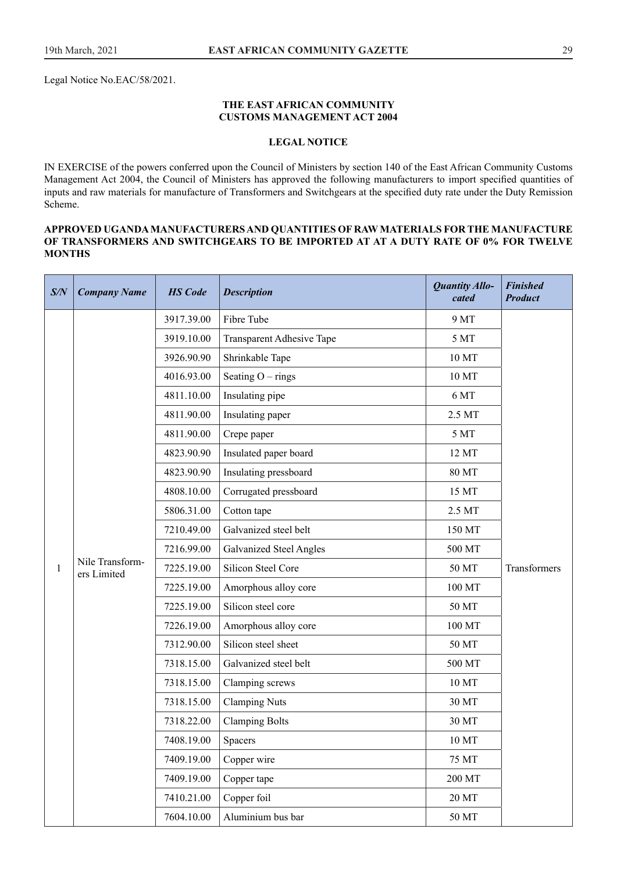Legal Notice No.EAC/58/2021.

#### **THE EAST AFRICAN COMMUNITY CUSTOMS MANAGEMENT ACT 2004**

#### **LEGAL NOTICE**

IN EXERCISE of the powers conferred upon the Council of Ministers by section 140 of the East African Community Customs Management Act 2004, the Council of Ministers has approved the following manufacturers to import specifed quantities of inputs and raw materials for manufacture of Transformers and Switchgears at the specifed duty rate under the Duty Remission Scheme.

#### **APPROVED UGANDA MANUFACTURERS AND QUANTITIES OF RAW MATERIALS FOR THE MANUFACTURE OF TRANSFORMERS AND SWITCHGEARS TO BE IMPORTED AT AT A DUTY RATE OF 0% FOR TWELVE MONTHS**

| S/N | <b>Company Name</b>            | <b>HS</b> Code | <b>Description</b>             | Quantity Allo-<br>cated | <b>Finished</b><br><b>Product</b> |
|-----|--------------------------------|----------------|--------------------------------|-------------------------|-----------------------------------|
|     |                                | 3917.39.00     | Fibre Tube                     | 9 MT                    |                                   |
|     |                                | 3919.10.00     | Transparent Adhesive Tape      | 5 MT                    |                                   |
|     |                                | 3926.90.90     | Shrinkable Tape                | 10 MT                   |                                   |
|     |                                | 4016.93.00     | Seating $O - rings$            | 10 MT                   |                                   |
|     |                                | 4811.10.00     | Insulating pipe                | 6 MT                    |                                   |
|     |                                | 4811.90.00     | Insulating paper               | 2.5 MT                  |                                   |
|     |                                | 4811.90.00     | Crepe paper                    | 5 MT                    |                                   |
|     |                                | 4823.90.90     | Insulated paper board          | 12 MT                   |                                   |
|     |                                | 4823.90.90     | Insulating pressboard          | 80 MT                   |                                   |
|     |                                | 4808.10.00     | Corrugated pressboard          | 15 MT                   |                                   |
|     |                                | 5806.31.00     | Cotton tape                    | 2.5 MT                  |                                   |
|     |                                | 7210.49.00     | Galvanized steel belt          | 150 MT                  |                                   |
|     |                                | 7216.99.00     | <b>Galvanized Steel Angles</b> | 500 MT                  |                                   |
| 1   | Nile Transform-<br>ers Limited | 7225.19.00     | Silicon Steel Core             | 50 MT                   | Transformers                      |
|     |                                | 7225.19.00     | Amorphous alloy core           | 100 MT                  |                                   |
|     |                                | 7225.19.00     | Silicon steel core             | 50 MT                   |                                   |
|     |                                | 7226.19.00     | Amorphous alloy core           | 100 MT                  |                                   |
|     |                                | 7312.90.00     | Silicon steel sheet            | 50 MT                   |                                   |
|     |                                | 7318.15.00     | Galvanized steel belt          | 500 MT                  |                                   |
|     |                                | 7318.15.00     | Clamping screws                | 10 MT                   |                                   |
|     |                                | 7318.15.00     | <b>Clamping Nuts</b>           | 30 MT                   |                                   |
|     |                                | 7318.22.00     | <b>Clamping Bolts</b>          | 30 MT                   |                                   |
|     |                                | 7408.19.00     | Spacers                        | 10 MT                   |                                   |
|     |                                | 7409.19.00     | Copper wire                    | 75 MT                   |                                   |
|     |                                | 7409.19.00     | Copper tape                    | 200 MT                  |                                   |
|     |                                | 7410.21.00     | Copper foil                    | 20 MT                   |                                   |
|     |                                | 7604.10.00     | Aluminium bus bar              | 50 MT                   |                                   |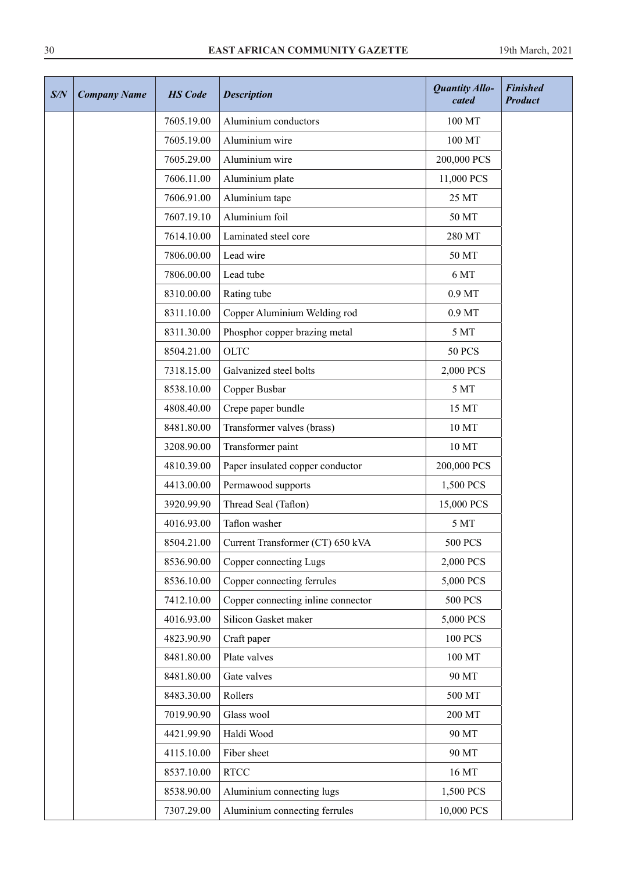## 30 **EAST AFRICAN COMMUNITY GAZETTE** 19th March, 2021

| S/N | <b>Company Name</b> | <b>HS</b> Code | <b>Description</b>                 | <b>Quantity Allo-</b><br>cated | <b>Finished</b><br><b>Product</b> |
|-----|---------------------|----------------|------------------------------------|--------------------------------|-----------------------------------|
|     |                     | 7605.19.00     | Aluminium conductors               | 100 MT                         |                                   |
|     |                     | 7605.19.00     | Aluminium wire                     | 100 MT                         |                                   |
|     |                     | 7605.29.00     | Aluminium wire                     | 200,000 PCS                    |                                   |
|     |                     | 7606.11.00     | Aluminium plate                    | 11,000 PCS                     |                                   |
|     |                     | 7606.91.00     | Aluminium tape                     | 25 MT                          |                                   |
|     |                     | 7607.19.10     | Aluminium foil                     | 50 MT                          |                                   |
|     |                     | 7614.10.00     | Laminated steel core               | 280 MT                         |                                   |
|     |                     | 7806.00.00     | Lead wire                          | 50 MT                          |                                   |
|     |                     | 7806.00.00     | Lead tube                          | 6 MT                           |                                   |
|     |                     | 8310.00.00     | Rating tube                        | 0.9 MT                         |                                   |
|     |                     | 8311.10.00     | Copper Aluminium Welding rod       | 0.9 <sub>MT</sub>              |                                   |
|     |                     | 8311.30.00     | Phosphor copper brazing metal      | 5 MT                           |                                   |
|     |                     | 8504.21.00     | <b>OLTC</b>                        | <b>50 PCS</b>                  |                                   |
|     |                     | 7318.15.00     | Galvanized steel bolts             | 2,000 PCS                      |                                   |
|     |                     | 8538.10.00     | Copper Busbar                      | 5 MT                           |                                   |
|     |                     | 4808.40.00     | Crepe paper bundle                 | 15 MT                          |                                   |
|     |                     | 8481.80.00     | Transformer valves (brass)         | 10 MT                          |                                   |
|     |                     | 3208.90.00     | Transformer paint                  | 10 MT                          |                                   |
|     |                     | 4810.39.00     | Paper insulated copper conductor   | 200,000 PCS                    |                                   |
|     |                     | 4413.00.00     | Permawood supports                 | 1,500 PCS                      |                                   |
|     |                     | 3920.99.90     | Thread Seal (Taflon)               | 15,000 PCS                     |                                   |
|     |                     | 4016.93.00     | Taflon washer                      | 5 MT                           |                                   |
|     |                     | 8504.21.00     | Current Transformer (CT) 650 kVA   | <b>500 PCS</b>                 |                                   |
|     |                     | 8536.90.00     | Copper connecting Lugs             | 2,000 PCS                      |                                   |
|     |                     | 8536.10.00     | Copper connecting ferrules         | 5,000 PCS                      |                                   |
|     |                     | 7412.10.00     | Copper connecting inline connector | <b>500 PCS</b>                 |                                   |
|     |                     | 4016.93.00     | Silicon Gasket maker               | 5,000 PCS                      |                                   |
|     |                     | 4823.90.90     | Craft paper                        | <b>100 PCS</b>                 |                                   |
|     |                     | 8481.80.00     | Plate valves                       | 100 MT                         |                                   |
|     |                     | 8481.80.00     | Gate valves                        | 90 MT                          |                                   |
|     |                     | 8483.30.00     | Rollers                            | 500 MT                         |                                   |
|     |                     | 7019.90.90     | Glass wool                         | 200 MT                         |                                   |
|     |                     | 4421.99.90     | Haldi Wood                         | 90 MT                          |                                   |
|     |                     | 4115.10.00     | Fiber sheet                        | 90 MT                          |                                   |
|     |                     | 8537.10.00     | <b>RTCC</b>                        | 16 MT                          |                                   |
|     |                     | 8538.90.00     | Aluminium connecting lugs          | 1,500 PCS                      |                                   |
|     |                     | 7307.29.00     | Aluminium connecting ferrules      | 10,000 PCS                     |                                   |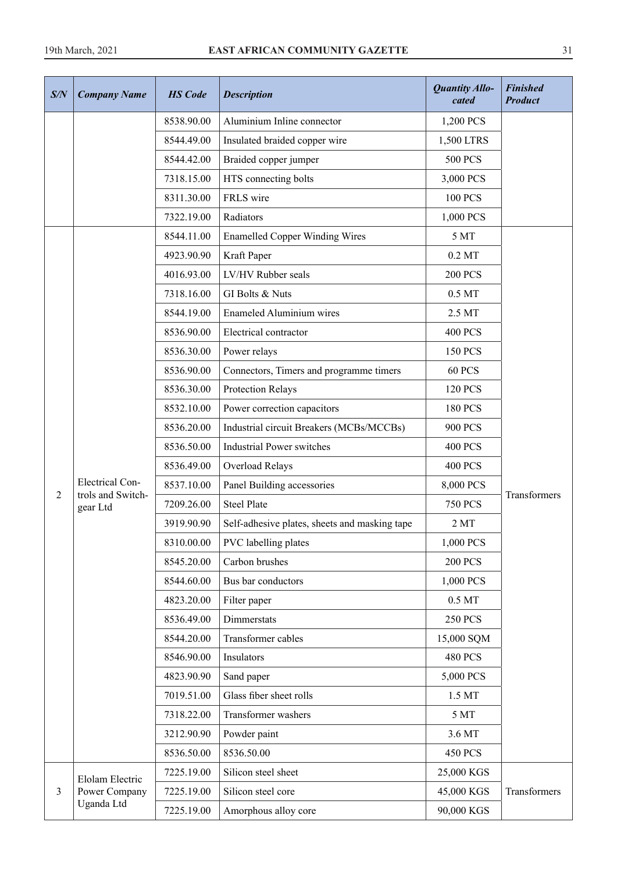| S/N | <b>Company Name</b>              | <b>HS</b> Code | <b>Description</b>                            | <b>Quantity Allo-</b><br>cated | <b>Finished</b><br><b>Product</b> |
|-----|----------------------------------|----------------|-----------------------------------------------|--------------------------------|-----------------------------------|
|     |                                  | 8538.90.00     | Aluminium Inline connector                    | 1,200 PCS                      |                                   |
|     |                                  | 8544.49.00     | Insulated braided copper wire                 | 1,500 LTRS                     |                                   |
|     |                                  | 8544.42.00     | Braided copper jumper                         | <b>500 PCS</b>                 |                                   |
|     |                                  | 7318.15.00     | HTS connecting bolts                          | 3,000 PCS                      |                                   |
|     |                                  | 8311.30.00     | FRLS wire                                     | <b>100 PCS</b>                 |                                   |
|     |                                  | 7322.19.00     | Radiators                                     | 1,000 PCS                      |                                   |
|     |                                  | 8544.11.00     | <b>Enamelled Copper Winding Wires</b>         | 5 MT                           |                                   |
|     |                                  | 4923.90.90     | Kraft Paper                                   | $0.2$ MT                       |                                   |
|     |                                  | 4016.93.00     | LV/HV Rubber seals                            | <b>200 PCS</b>                 |                                   |
|     |                                  | 7318.16.00     | GI Bolts & Nuts                               | 0.5 MT                         |                                   |
|     |                                  | 8544.19.00     | <b>Enameled Aluminium wires</b>               | 2.5 MT                         |                                   |
|     |                                  | 8536.90.00     | Electrical contractor                         | <b>400 PCS</b>                 |                                   |
|     |                                  | 8536.30.00     | Power relays                                  | <b>150 PCS</b>                 |                                   |
|     |                                  | 8536.90.00     | Connectors, Timers and programme timers       | <b>60 PCS</b>                  |                                   |
|     |                                  | 8536.30.00     | Protection Relays                             | <b>120 PCS</b>                 |                                   |
|     |                                  | 8532.10.00     | Power correction capacitors                   | <b>180 PCS</b>                 |                                   |
|     |                                  | 8536.20.00     | Industrial circuit Breakers (MCBs/MCCBs)      | <b>900 PCS</b>                 |                                   |
|     |                                  | 8536.50.00     | <b>Industrial Power switches</b>              | <b>400 PCS</b>                 |                                   |
|     |                                  | 8536.49.00     | Overload Relays                               | <b>400 PCS</b>                 |                                   |
|     | <b>Electrical Con-</b>           | 8537.10.00     | Panel Building accessories                    | 8,000 PCS                      |                                   |
| 2   | trols and Switch-<br>gear Ltd    | 7209.26.00     | <b>Steel Plate</b>                            | <b>750 PCS</b>                 | Transformers                      |
|     |                                  | 3919.90.90     | Self-adhesive plates, sheets and masking tape | 2MT                            |                                   |
|     |                                  | 8310.00.00     | PVC labelling plates                          | 1,000 PCS                      |                                   |
|     |                                  | 8545.20.00     | Carbon brushes                                | <b>200 PCS</b>                 |                                   |
|     |                                  | 8544.60.00     | Bus bar conductors                            | 1,000 PCS                      |                                   |
|     |                                  | 4823.20.00     | Filter paper                                  | $0.5$ MT                       |                                   |
|     |                                  | 8536.49.00     | Dimmerstats                                   | <b>250 PCS</b>                 |                                   |
|     |                                  | 8544.20.00     | Transformer cables                            | 15,000 SQM                     |                                   |
|     |                                  | 8546.90.00     | Insulators                                    | <b>480 PCS</b>                 |                                   |
|     |                                  | 4823.90.90     | Sand paper                                    | 5,000 PCS                      |                                   |
|     |                                  | 7019.51.00     | Glass fiber sheet rolls                       | 1.5 MT                         |                                   |
|     |                                  | 7318.22.00     | Transformer washers                           | 5 MT                           |                                   |
|     |                                  | 3212.90.90     | Powder paint                                  | 3.6 MT                         |                                   |
|     |                                  | 8536.50.00     | 8536.50.00                                    | <b>450 PCS</b>                 |                                   |
|     |                                  | 7225.19.00     | Silicon steel sheet                           | 25,000 KGS                     |                                   |
| 3   | Elolam Electric<br>Power Company | 7225.19.00     | Silicon steel core                            | 45,000 KGS                     | Transformers                      |
|     | Uganda Ltd                       | 7225.19.00     | Amorphous alloy core                          | 90,000 KGS                     |                                   |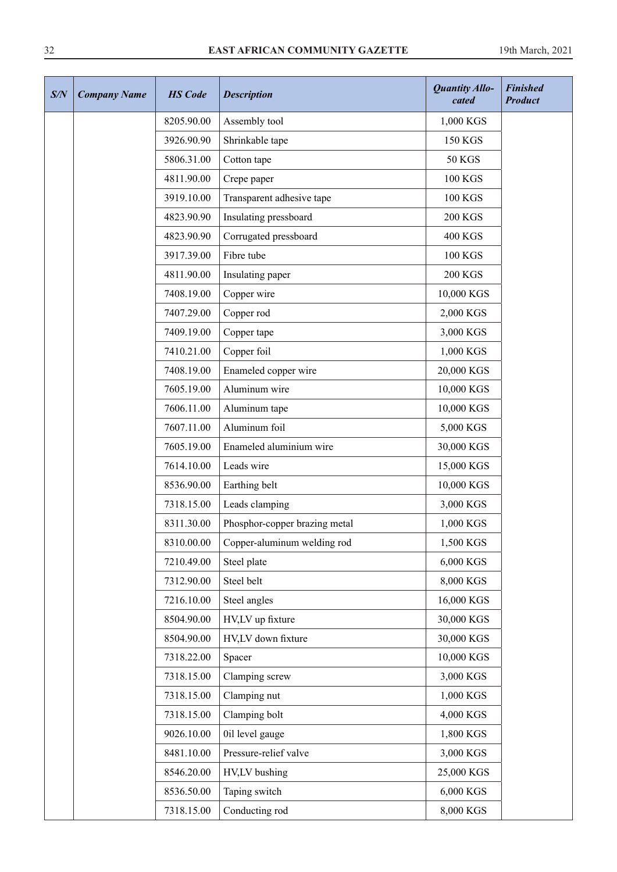## 32 **EAST AFRICAN COMMUNITY GAZETTE** 19th March, 2021

| S/N | <b>Company Name</b> | <b>HS</b> Code | <b>Description</b>            | Quantity Allo-<br>cated | <b>Finished</b><br><b>Product</b> |
|-----|---------------------|----------------|-------------------------------|-------------------------|-----------------------------------|
|     |                     | 8205.90.00     | Assembly tool                 | 1,000 KGS               |                                   |
|     |                     | 3926.90.90     | Shrinkable tape               | <b>150 KGS</b>          |                                   |
|     |                     | 5806.31.00     | Cotton tape                   | <b>50 KGS</b>           |                                   |
|     |                     | 4811.90.00     | Crepe paper                   | <b>100 KGS</b>          |                                   |
|     |                     | 3919.10.00     | Transparent adhesive tape     | <b>100 KGS</b>          |                                   |
|     |                     | 4823.90.90     | Insulating pressboard         | <b>200 KGS</b>          |                                   |
|     |                     | 4823.90.90     | Corrugated pressboard         | <b>400 KGS</b>          |                                   |
|     |                     | 3917.39.00     | Fibre tube                    | <b>100 KGS</b>          |                                   |
|     |                     | 4811.90.00     | Insulating paper              | <b>200 KGS</b>          |                                   |
|     |                     | 7408.19.00     | Copper wire                   | 10,000 KGS              |                                   |
|     |                     | 7407.29.00     | Copper rod                    | 2,000 KGS               |                                   |
|     |                     | 7409.19.00     | Copper tape                   | 3,000 KGS               |                                   |
|     |                     | 7410.21.00     | Copper foil                   | 1,000 KGS               |                                   |
|     |                     | 7408.19.00     | Enameled copper wire          | 20,000 KGS              |                                   |
|     |                     | 7605.19.00     | Aluminum wire                 | 10,000 KGS              |                                   |
|     |                     | 7606.11.00     | Aluminum tape                 | 10,000 KGS              |                                   |
|     |                     | 7607.11.00     | Aluminum foil                 | 5,000 KGS               |                                   |
|     |                     | 7605.19.00     | Enameled aluminium wire       | 30,000 KGS              |                                   |
|     |                     | 7614.10.00     | Leads wire                    | 15,000 KGS              |                                   |
|     |                     | 8536.90.00     | Earthing belt                 | 10,000 KGS              |                                   |
|     |                     | 7318.15.00     | Leads clamping                | 3,000 KGS               |                                   |
|     |                     | 8311.30.00     | Phosphor-copper brazing metal | 1,000 KGS               |                                   |
|     |                     | 8310.00.00     | Copper-aluminum welding rod   | 1,500 KGS               |                                   |
|     |                     | 7210.49.00     | Steel plate                   | 6,000 KGS               |                                   |
|     |                     | 7312.90.00     | Steel belt                    | 8,000 KGS               |                                   |
|     |                     | 7216.10.00     | Steel angles                  | 16,000 KGS              |                                   |
|     |                     | 8504.90.00     | HV,LV up fixture              | 30,000 KGS              |                                   |
|     |                     | 8504.90.00     | HV,LV down fixture            | 30,000 KGS              |                                   |
|     |                     | 7318.22.00     | Spacer                        | 10,000 KGS              |                                   |
|     |                     | 7318.15.00     | Clamping screw                | 3,000 KGS               |                                   |
|     |                     | 7318.15.00     | Clamping nut                  | 1,000 KGS               |                                   |
|     |                     | 7318.15.00     | Clamping bolt                 | 4,000 KGS               |                                   |
|     |                     | 9026.10.00     | 0il level gauge               | 1,800 KGS               |                                   |
|     |                     | 8481.10.00     | Pressure-relief valve         | 3,000 KGS               |                                   |
|     |                     | 8546.20.00     | HV,LV bushing                 | 25,000 KGS              |                                   |
|     |                     | 8536.50.00     | Taping switch                 | 6,000 KGS               |                                   |
|     |                     | 7318.15.00     | Conducting rod                | 8,000 KGS               |                                   |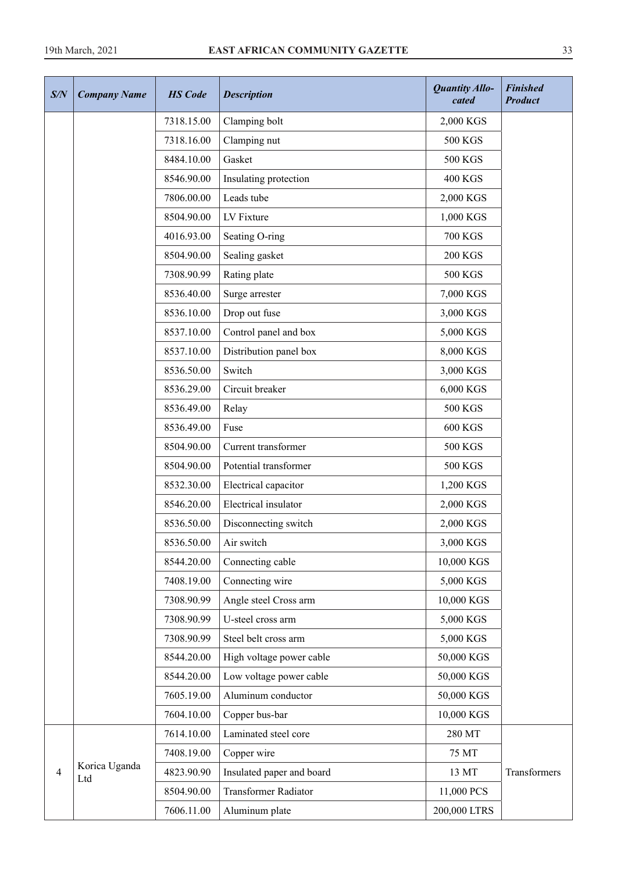| S/N | <b>Company Name</b>  | <b>HS</b> Code | <b>Description</b>        | <b>Quantity Allo-</b><br>cated | <b>Finished</b><br><b>Product</b> |
|-----|----------------------|----------------|---------------------------|--------------------------------|-----------------------------------|
|     |                      | 7318.15.00     | Clamping bolt             | 2,000 KGS                      |                                   |
|     |                      | 7318.16.00     | Clamping nut              | <b>500 KGS</b>                 |                                   |
|     |                      | 8484.10.00     | Gasket                    | 500 KGS                        |                                   |
|     |                      | 8546.90.00     | Insulating protection     | <b>400 KGS</b>                 |                                   |
|     |                      | 7806.00.00     | Leads tube                | 2,000 KGS                      |                                   |
|     |                      | 8504.90.00     | LV Fixture                | 1,000 KGS                      |                                   |
|     |                      | 4016.93.00     | Seating O-ring            | <b>700 KGS</b>                 |                                   |
|     |                      | 8504.90.00     | Sealing gasket            | <b>200 KGS</b>                 |                                   |
|     |                      | 7308.90.99     | Rating plate              | 500 KGS                        |                                   |
|     |                      | 8536.40.00     | Surge arrester            | 7,000 KGS                      |                                   |
|     |                      | 8536.10.00     | Drop out fuse             | 3,000 KGS                      |                                   |
|     |                      | 8537.10.00     | Control panel and box     | 5,000 KGS                      |                                   |
|     |                      | 8537.10.00     | Distribution panel box    | 8,000 KGS                      |                                   |
|     |                      | 8536.50.00     | Switch                    | 3,000 KGS                      |                                   |
|     |                      | 8536.29.00     | Circuit breaker           | 6,000 KGS                      |                                   |
|     |                      | 8536.49.00     | Relay                     | 500 KGS                        |                                   |
|     |                      | 8536.49.00     | Fuse                      | <b>600 KGS</b>                 |                                   |
|     |                      | 8504.90.00     | Current transformer       | 500 KGS                        |                                   |
|     |                      | 8504.90.00     | Potential transformer     | 500 KGS                        |                                   |
|     |                      | 8532.30.00     | Electrical capacitor      | 1,200 KGS                      |                                   |
|     |                      | 8546.20.00     | Electrical insulator      | 2,000 KGS                      |                                   |
|     |                      | 8536.50.00     | Disconnecting switch      | 2,000 KGS                      |                                   |
|     |                      | 8536.50.00     | Air switch                | 3,000 KGS                      |                                   |
|     |                      | 8544.20.00     | Connecting cable          | 10,000 KGS                     |                                   |
|     |                      | 7408.19.00     | Connecting wire           | 5,000 KGS                      |                                   |
|     |                      | 7308.90.99     | Angle steel Cross arm     | 10,000 KGS                     |                                   |
|     |                      | 7308.90.99     | U-steel cross arm         | 5,000 KGS                      |                                   |
|     |                      | 7308.90.99     | Steel belt cross arm      | 5,000 KGS                      |                                   |
|     |                      | 8544.20.00     | High voltage power cable  | 50,000 KGS                     |                                   |
|     |                      | 8544.20.00     | Low voltage power cable   | 50,000 KGS                     |                                   |
|     |                      | 7605.19.00     | Aluminum conductor        | 50,000 KGS                     |                                   |
|     |                      | 7604.10.00     | Copper bus-bar            | 10,000 KGS                     |                                   |
|     |                      | 7614.10.00     | Laminated steel core      | 280 MT                         |                                   |
|     |                      | 7408.19.00     | Copper wire               | 75 MT                          |                                   |
| 4   | Korica Uganda<br>Ltd | 4823.90.90     | Insulated paper and board | 13 MT                          | Transformers                      |
|     |                      | 8504.90.00     | Transformer Radiator      | 11,000 PCS                     |                                   |
|     |                      | 7606.11.00     | Aluminum plate            | 200,000 LTRS                   |                                   |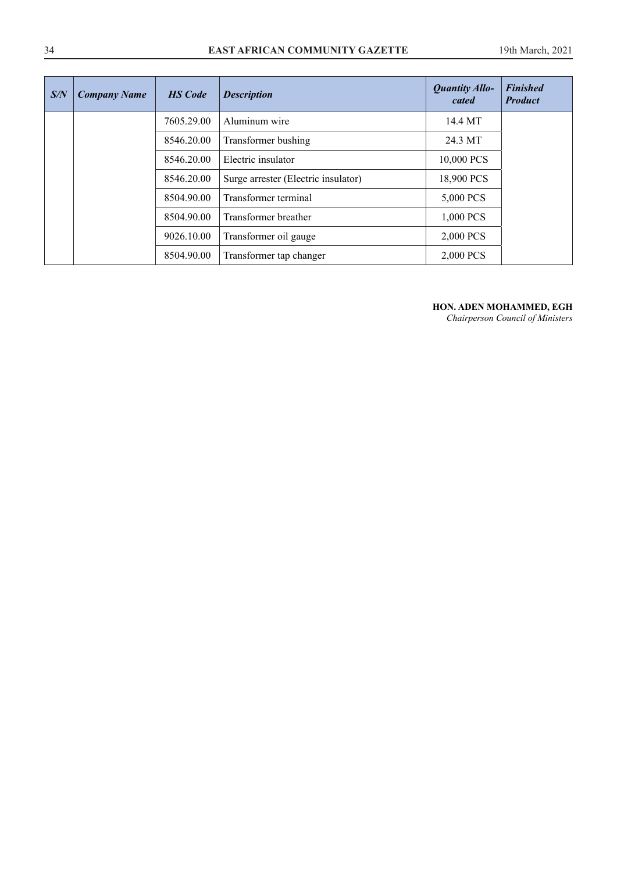#### 34 **EAST AFRICAN COMMUNITY GAZETTE** 19th March, 2021

| S/N | <b>Company Name</b> | <b>HS</b> Code | <b>Description</b>                  | <b>Quantity Allo-</b><br>cated | <b>Finished</b><br><b>Product</b> |
|-----|---------------------|----------------|-------------------------------------|--------------------------------|-----------------------------------|
|     |                     | 7605.29.00     | Aluminum wire                       | 14.4 MT                        |                                   |
|     |                     | 8546.20.00     | Transformer bushing                 | 24.3 MT                        |                                   |
|     |                     | 8546.20.00     | Electric insulator                  | 10,000 PCS                     |                                   |
|     |                     | 8546.20.00     | Surge arrester (Electric insulator) | 18,900 PCS                     |                                   |
|     |                     | 8504.90.00     | Transformer terminal                | 5,000 PCS                      |                                   |
|     |                     | 8504.90.00     | Transformer breather                | 1,000 PCS                      |                                   |
|     |                     | 9026.10.00     | Transformer oil gauge               | 2,000 PCS                      |                                   |
|     |                     | 8504.90.00     | Transformer tap changer             | 2,000 PCS                      |                                   |

#### **HON. ADEN MOHAMMED, EGH**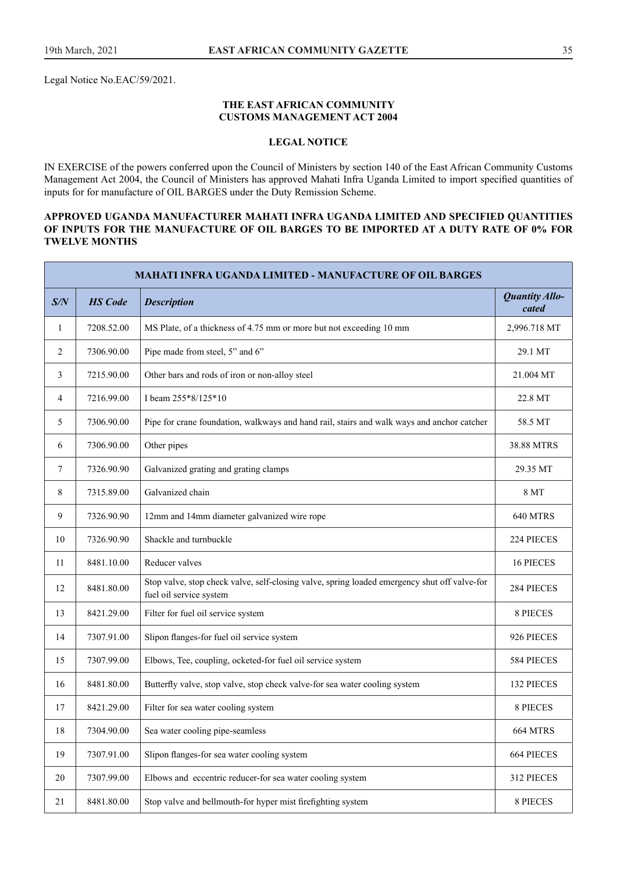Legal Notice No.EAC/59/2021.

#### **THE EAST AFRICAN COMMUNITY CUSTOMS MANAGEMENT ACT 2004**

## **LEGAL NOTICE**

IN EXERCISE of the powers conferred upon the Council of Ministers by section 140 of the East African Community Customs Management Act 2004, the Council of Ministers has approved Mahati Infra Uganda Limited to import specifed quantities of inputs for for manufacture of OIL BARGES under the Duty Remission Scheme.

#### **APPROVED UGANDA MANUFACTURER MAHATI INFRA UGANDA LIMITED AND SPECIFIED QUANTITIES OF INPUTS FOR THE MANUFACTURE OF OIL BARGES TO BE IMPORTED AT A DUTY RATE OF 0% FOR TWELVE MONTHS**

|        | <b>MAHATI INFRA UGANDA LIMITED - MANUFACTURE OF OIL BARGES</b> |                                                                                                                         |                         |  |  |  |  |  |
|--------|----------------------------------------------------------------|-------------------------------------------------------------------------------------------------------------------------|-------------------------|--|--|--|--|--|
| S/N    | <b>HS</b> Code                                                 | <b>Description</b>                                                                                                      | Quantity Allo-<br>cated |  |  |  |  |  |
| 1      | 7208.52.00                                                     | MS Plate, of a thickness of 4.75 mm or more but not exceeding 10 mm                                                     | 2,996.718 MT            |  |  |  |  |  |
| 2      | 7306.90.00                                                     | Pipe made from steel, 5" and 6"                                                                                         | 29.1 MT                 |  |  |  |  |  |
| 3      | 7215.90.00                                                     | Other bars and rods of iron or non-alloy steel                                                                          | 21.004 MT               |  |  |  |  |  |
| 4      | 7216.99.00                                                     | I beam 255*8/125*10                                                                                                     | 22.8 MT                 |  |  |  |  |  |
| 5      | 7306.90.00                                                     | Pipe for crane foundation, walkways and hand rail, stairs and walk ways and anchor catcher                              | 58.5 MT                 |  |  |  |  |  |
| 6      | 7306.90.00                                                     | Other pipes                                                                                                             | 38.88 MTRS              |  |  |  |  |  |
| $\tau$ | 7326.90.90                                                     | Galvanized grating and grating clamps                                                                                   | 29.35 MT                |  |  |  |  |  |
| 8      | 7315.89.00                                                     | Galvanized chain                                                                                                        | 8 MT                    |  |  |  |  |  |
| 9      | 7326.90.90                                                     | 12mm and 14mm diameter galvanized wire rope                                                                             | 640 MTRS                |  |  |  |  |  |
| 10     | 7326.90.90                                                     | Shackle and turnbuckle                                                                                                  | 224 PIECES              |  |  |  |  |  |
| 11     | 8481.10.00                                                     | Reducer valves                                                                                                          | 16 PIECES               |  |  |  |  |  |
| 12     | 8481.80.00                                                     | Stop valve, stop check valve, self-closing valve, spring loaded emergency shut off valve-for<br>fuel oil service system | 284 PIECES              |  |  |  |  |  |
| 13     | 8421.29.00                                                     | Filter for fuel oil service system                                                                                      | 8 PIECES                |  |  |  |  |  |
| 14     | 7307.91.00                                                     | Slipon flanges-for fuel oil service system                                                                              | 926 PIECES              |  |  |  |  |  |
| 15     | 7307.99.00                                                     | Elbows, Tee, coupling, ocketed-for fuel oil service system                                                              | 584 PIECES              |  |  |  |  |  |
| 16     | 8481.80.00                                                     | Butterfly valve, stop valve, stop check valve-for sea water cooling system                                              | 132 PIECES              |  |  |  |  |  |
| 17     | 8421.29.00                                                     | Filter for sea water cooling system                                                                                     | <b>8 PIECES</b>         |  |  |  |  |  |
| $18\,$ | 7304.90.00                                                     | Sea water cooling pipe-seamless                                                                                         | 664 MTRS                |  |  |  |  |  |
| 19     | 7307.91.00                                                     | Slipon flanges-for sea water cooling system                                                                             | 664 PIECES              |  |  |  |  |  |
| 20     | 7307.99.00                                                     | Elbows and eccentric reducer-for sea water cooling system                                                               | 312 PIECES              |  |  |  |  |  |
| 21     | 8481.80.00                                                     | Stop valve and bellmouth-for hyper mist firefighting system                                                             | 8 PIECES                |  |  |  |  |  |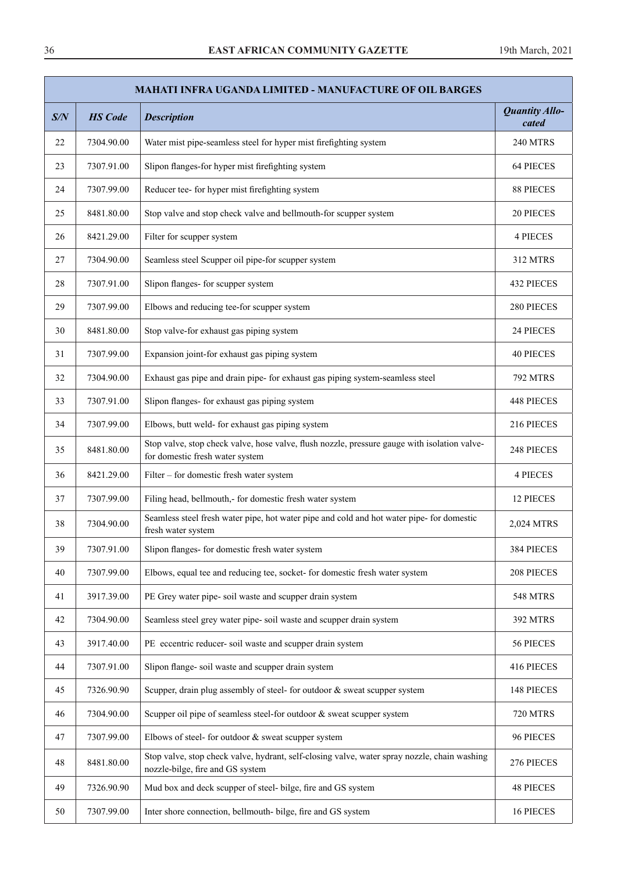|     | <b>MAHATI INFRA UGANDA LIMITED - MANUFACTURE OF OIL BARGES</b> |                                                                                                                                  |                         |  |  |  |  |
|-----|----------------------------------------------------------------|----------------------------------------------------------------------------------------------------------------------------------|-------------------------|--|--|--|--|
| S/N | <b>HS</b> Code                                                 | <b>Description</b>                                                                                                               | Quantity Allo-<br>cated |  |  |  |  |
| 22  | 7304.90.00                                                     | Water mist pipe-seamless steel for hyper mist firefighting system                                                                | <b>240 MTRS</b>         |  |  |  |  |
| 23  | 7307.91.00                                                     | Slipon flanges-for hyper mist firefighting system                                                                                | 64 PIECES               |  |  |  |  |
| 24  | 7307.99.00                                                     | Reducer tee- for hyper mist firefighting system                                                                                  | <b>88 PIECES</b>        |  |  |  |  |
| 25  | 8481.80.00                                                     | Stop valve and stop check valve and bellmouth-for scupper system                                                                 | 20 PIECES               |  |  |  |  |
| 26  | 8421.29.00                                                     | Filter for scupper system                                                                                                        | <b>4 PIECES</b>         |  |  |  |  |
| 27  | 7304.90.00                                                     | Seamless steel Scupper oil pipe-for scupper system                                                                               | 312 MTRS                |  |  |  |  |
| 28  | 7307.91.00                                                     | Slipon flanges- for scupper system                                                                                               | 432 PIECES              |  |  |  |  |
| 29  | 7307.99.00                                                     | Elbows and reducing tee-for scupper system                                                                                       | 280 PIECES              |  |  |  |  |
| 30  | 8481.80.00                                                     | Stop valve-for exhaust gas piping system                                                                                         | 24 PIECES               |  |  |  |  |
| 31  | 7307.99.00                                                     | Expansion joint-for exhaust gas piping system                                                                                    | <b>40 PIECES</b>        |  |  |  |  |
| 32  | 7304.90.00                                                     | Exhaust gas pipe and drain pipe- for exhaust gas piping system-seamless steel                                                    | <b>792 MTRS</b>         |  |  |  |  |
| 33  | 7307.91.00                                                     | Slipon flanges- for exhaust gas piping system                                                                                    | 448 PIECES              |  |  |  |  |
| 34  | 7307.99.00                                                     | Elbows, butt weld- for exhaust gas piping system                                                                                 | 216 PIECES              |  |  |  |  |
| 35  | 8481.80.00                                                     | Stop valve, stop check valve, hose valve, flush nozzle, pressure gauge with isolation valve-<br>for domestic fresh water system  | 248 PIECES              |  |  |  |  |
| 36  | 8421.29.00                                                     | Filter - for domestic fresh water system                                                                                         | <b>4 PIECES</b>         |  |  |  |  |
| 37  | 7307.99.00                                                     | Filing head, bellmouth,- for domestic fresh water system                                                                         | 12 PIECES               |  |  |  |  |
| 38  | 7304.90.00                                                     | Seamless steel fresh water pipe, hot water pipe and cold and hot water pipe- for domestic<br>fresh water system                  | 2,024 MTRS              |  |  |  |  |
| 39  | 7307.91.00                                                     | Slipon flanges- for domestic fresh water system                                                                                  | 384 PIECES              |  |  |  |  |
| 40  | 7307.99.00                                                     | Elbows, equal tee and reducing tee, socket- for domestic fresh water system                                                      | 208 PIECES              |  |  |  |  |
| 41  | 3917.39.00                                                     | PE Grey water pipe- soil waste and scupper drain system                                                                          | <b>548 MTRS</b>         |  |  |  |  |
| 42  | 7304.90.00                                                     | Seamless steel grey water pipe- soil waste and scupper drain system                                                              | 392 MTRS                |  |  |  |  |
| 43  | 3917.40.00                                                     | PE eccentric reducer- soil waste and scupper drain system                                                                        | 56 PIECES               |  |  |  |  |
| 44  | 7307.91.00                                                     | Slipon flange- soil waste and scupper drain system                                                                               | 416 PIECES              |  |  |  |  |
| 45  | 7326.90.90                                                     | Scupper, drain plug assembly of steel- for outdoor & sweat scupper system                                                        | 148 PIECES              |  |  |  |  |
| 46  | 7304.90.00                                                     | Scupper oil pipe of seamless steel-for outdoor & sweat scupper system                                                            | <b>720 MTRS</b>         |  |  |  |  |
| 47  | 7307.99.00                                                     | Elbows of steel- for outdoor $&$ sweat scupper system                                                                            | 96 PIECES               |  |  |  |  |
| 48  | 8481.80.00                                                     | Stop valve, stop check valve, hydrant, self-closing valve, water spray nozzle, chain washing<br>nozzle-bilge, fire and GS system | 276 PIECES              |  |  |  |  |
| 49  | 7326.90.90                                                     | Mud box and deck scupper of steel- bilge, fire and GS system                                                                     | <b>48 PIECES</b>        |  |  |  |  |
| 50  | 7307.99.00                                                     | Inter shore connection, bellmouth- bilge, fire and GS system                                                                     | 16 PIECES               |  |  |  |  |

×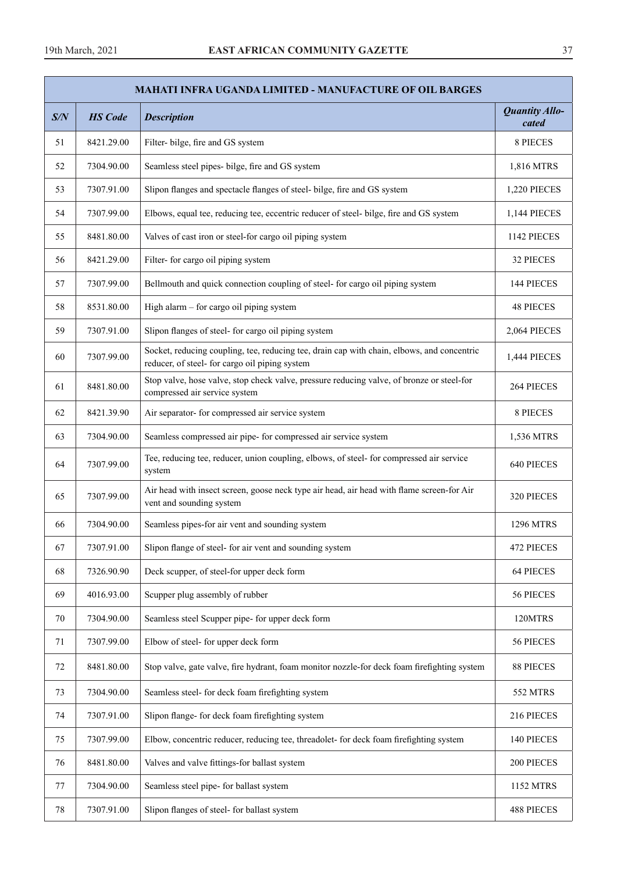| <b>MAHATI INFRA UGANDA LIMITED - MANUFACTURE OF OIL BARGES</b> |                |                                                                                                                                              |                                |  |  |  |
|----------------------------------------------------------------|----------------|----------------------------------------------------------------------------------------------------------------------------------------------|--------------------------------|--|--|--|
| S/N                                                            | <b>HS</b> Code | <b>Description</b>                                                                                                                           | <b>Quantity Allo-</b><br>cated |  |  |  |
| 51                                                             | 8421.29.00     | Filter- bilge, fire and GS system                                                                                                            | 8 PIECES                       |  |  |  |
| 52                                                             | 7304.90.00     | Seamless steel pipes- bilge, fire and GS system                                                                                              | 1,816 MTRS                     |  |  |  |
| 53                                                             | 7307.91.00     | Slipon flanges and spectacle flanges of steel- bilge, fire and GS system                                                                     | 1,220 PIECES                   |  |  |  |
| 54                                                             | 7307.99.00     | Elbows, equal tee, reducing tee, eccentric reducer of steel- bilge, fire and GS system                                                       | 1,144 PIECES                   |  |  |  |
| 55                                                             | 8481.80.00     | Valves of cast iron or steel-for cargo oil piping system                                                                                     | 1142 PIECES                    |  |  |  |
| 56                                                             | 8421.29.00     | Filter- for cargo oil piping system                                                                                                          | 32 PIECES                      |  |  |  |
| 57                                                             | 7307.99.00     | Bellmouth and quick connection coupling of steel- for cargo oil piping system                                                                | 144 PIECES                     |  |  |  |
| 58                                                             | 8531.80.00     | High alarm - for cargo oil piping system                                                                                                     | <b>48 PIECES</b>               |  |  |  |
| 59                                                             | 7307.91.00     | Slipon flanges of steel- for cargo oil piping system                                                                                         | 2,064 PIECES                   |  |  |  |
| 60                                                             | 7307.99.00     | Socket, reducing coupling, tee, reducing tee, drain cap with chain, elbows, and concentric<br>reducer, of steel- for cargo oil piping system | 1,444 PIECES                   |  |  |  |
| 61                                                             | 8481.80.00     | Stop valve, hose valve, stop check valve, pressure reducing valve, of bronze or steel-for<br>compressed air service system                   | 264 PIECES                     |  |  |  |
| 62                                                             | 8421.39.90     | Air separator- for compressed air service system                                                                                             | 8 PIECES                       |  |  |  |
| 63                                                             | 7304.90.00     | Seamless compressed air pipe- for compressed air service system                                                                              | 1,536 MTRS                     |  |  |  |
| 64                                                             | 7307.99.00     | Tee, reducing tee, reducer, union coupling, elbows, of steel- for compressed air service<br>system                                           | 640 PIECES                     |  |  |  |
| 65                                                             | 7307.99.00     | Air head with insect screen, goose neck type air head, air head with flame screen-for Air<br>vent and sounding system                        | 320 PIECES                     |  |  |  |
| 66                                                             | 7304.90.00     | Seamless pipes-for air vent and sounding system                                                                                              | <b>1296 MTRS</b>               |  |  |  |
| 67                                                             | 7307.91.00     | Slipon flange of steel- for air vent and sounding system                                                                                     | 472 PIECES                     |  |  |  |
| 68                                                             | 7326.90.90     | Deck scupper, of steel-for upper deck form                                                                                                   | 64 PIECES                      |  |  |  |
| 69                                                             | 4016.93.00     | Scupper plug assembly of rubber                                                                                                              | 56 PIECES                      |  |  |  |
| 70                                                             | 7304.90.00     | Seamless steel Scupper pipe- for upper deck form                                                                                             | 120MTRS                        |  |  |  |
| 71                                                             | 7307.99.00     | Elbow of steel- for upper deck form                                                                                                          | 56 PIECES                      |  |  |  |
| 72                                                             | 8481.80.00     | Stop valve, gate valve, fire hydrant, foam monitor nozzle-for deck foam firefighting system                                                  | 88 PIECES                      |  |  |  |
| 73                                                             | 7304.90.00     | Seamless steel- for deck foam firefighting system                                                                                            | 552 MTRS                       |  |  |  |
| 74                                                             | 7307.91.00     | Slipon flange- for deck foam firefighting system                                                                                             | 216 PIECES                     |  |  |  |
| 75                                                             | 7307.99.00     | Elbow, concentric reducer, reducing tee, threadolet- for deck foam firefighting system                                                       | 140 PIECES                     |  |  |  |
| 76                                                             | 8481.80.00     | Valves and valve fittings-for ballast system                                                                                                 | 200 PIECES                     |  |  |  |
| 77                                                             | 7304.90.00     | Seamless steel pipe- for ballast system                                                                                                      | 1152 MTRS                      |  |  |  |
| 78                                                             | 7307.91.00     | Slipon flanges of steel- for ballast system                                                                                                  | 488 PIECES                     |  |  |  |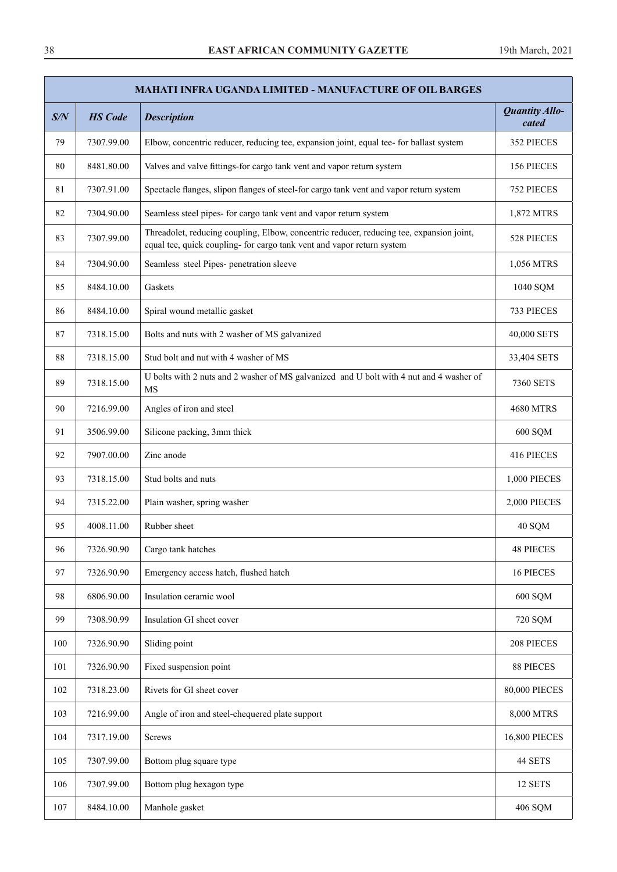|     | <b>MAHATI INFRA UGANDA LIMITED - MANUFACTURE OF OIL BARGES</b> |                                                                                                                                                                    |                                |  |  |  |  |
|-----|----------------------------------------------------------------|--------------------------------------------------------------------------------------------------------------------------------------------------------------------|--------------------------------|--|--|--|--|
| S/N | <b>HS</b> Code                                                 | <b>Description</b>                                                                                                                                                 | <b>Quantity Allo-</b><br>cated |  |  |  |  |
| 79  | 7307.99.00                                                     | Elbow, concentric reducer, reducing tee, expansion joint, equal tee- for ballast system                                                                            | 352 PIECES                     |  |  |  |  |
| 80  | 8481.80.00                                                     | Valves and valve fittings-for cargo tank vent and vapor return system                                                                                              | 156 PIECES                     |  |  |  |  |
| 81  | 7307.91.00                                                     | Spectacle flanges, slipon flanges of steel-for cargo tank vent and vapor return system                                                                             | 752 PIECES                     |  |  |  |  |
| 82  | 7304.90.00                                                     | Seamless steel pipes- for cargo tank vent and vapor return system                                                                                                  | 1,872 MTRS                     |  |  |  |  |
| 83  | 7307.99.00                                                     | Threadolet, reducing coupling, Elbow, concentric reducer, reducing tee, expansion joint,<br>equal tee, quick coupling- for cargo tank vent and vapor return system | 528 PIECES                     |  |  |  |  |
| 84  | 7304.90.00                                                     | Seamless steel Pipes- penetration sleeve                                                                                                                           | 1,056 MTRS                     |  |  |  |  |
| 85  | 8484.10.00                                                     | Gaskets                                                                                                                                                            | 1040 SQM                       |  |  |  |  |
| 86  | 8484.10.00                                                     | Spiral wound metallic gasket                                                                                                                                       | 733 PIECES                     |  |  |  |  |
| 87  | 7318.15.00                                                     | Bolts and nuts with 2 washer of MS galvanized                                                                                                                      | 40,000 SETS                    |  |  |  |  |
| 88  | 7318.15.00                                                     | Stud bolt and nut with 4 washer of MS                                                                                                                              | 33,404 SETS                    |  |  |  |  |
| 89  | 7318.15.00                                                     | U bolts with 2 nuts and 2 washer of MS galvanized and U bolt with 4 nut and 4 washer of<br><b>MS</b>                                                               | 7360 SETS                      |  |  |  |  |
| 90  | 7216.99.00                                                     | Angles of iron and steel                                                                                                                                           | <b>4680 MTRS</b>               |  |  |  |  |
| 91  | 3506.99.00                                                     | Silicone packing, 3mm thick                                                                                                                                        | 600 SQM                        |  |  |  |  |
| 92  | 7907.00.00                                                     | Zinc anode                                                                                                                                                         | 416 PIECES                     |  |  |  |  |
| 93  | 7318.15.00                                                     | Stud bolts and nuts                                                                                                                                                | 1,000 PIECES                   |  |  |  |  |
| 94  | 7315.22.00                                                     | Plain washer, spring washer                                                                                                                                        | 2,000 PIECES                   |  |  |  |  |
| 95  | 4008.11.00                                                     | Rubber sheet                                                                                                                                                       | 40 SQM                         |  |  |  |  |
| 96  | 7326.90.90                                                     | Cargo tank hatches                                                                                                                                                 | <b>48 PIECES</b>               |  |  |  |  |
| 97  | 7326.90.90                                                     | Emergency access hatch, flushed hatch                                                                                                                              | 16 PIECES                      |  |  |  |  |
| 98  | 6806.90.00                                                     | Insulation ceramic wool                                                                                                                                            | 600 SQM                        |  |  |  |  |
| 99  | 7308.90.99                                                     | Insulation GI sheet cover                                                                                                                                          | 720 SQM                        |  |  |  |  |
| 100 | 7326.90.90                                                     | Sliding point                                                                                                                                                      | 208 PIECES                     |  |  |  |  |
| 101 | 7326.90.90                                                     | Fixed suspension point                                                                                                                                             | 88 PIECES                      |  |  |  |  |
| 102 | 7318.23.00                                                     | Rivets for GI sheet cover                                                                                                                                          | <b>80,000 PIECES</b>           |  |  |  |  |
| 103 | 7216.99.00                                                     | Angle of iron and steel-chequered plate support                                                                                                                    | 8,000 MTRS                     |  |  |  |  |
| 104 | 7317.19.00                                                     | <b>Screws</b>                                                                                                                                                      | <b>16,800 PIECES</b>           |  |  |  |  |
| 105 | 7307.99.00                                                     | Bottom plug square type                                                                                                                                            | 44 SETS                        |  |  |  |  |
| 106 | 7307.99.00                                                     | Bottom plug hexagon type                                                                                                                                           | 12 SETS                        |  |  |  |  |
| 107 | 8484.10.00                                                     | Manhole gasket                                                                                                                                                     | 406 SQM                        |  |  |  |  |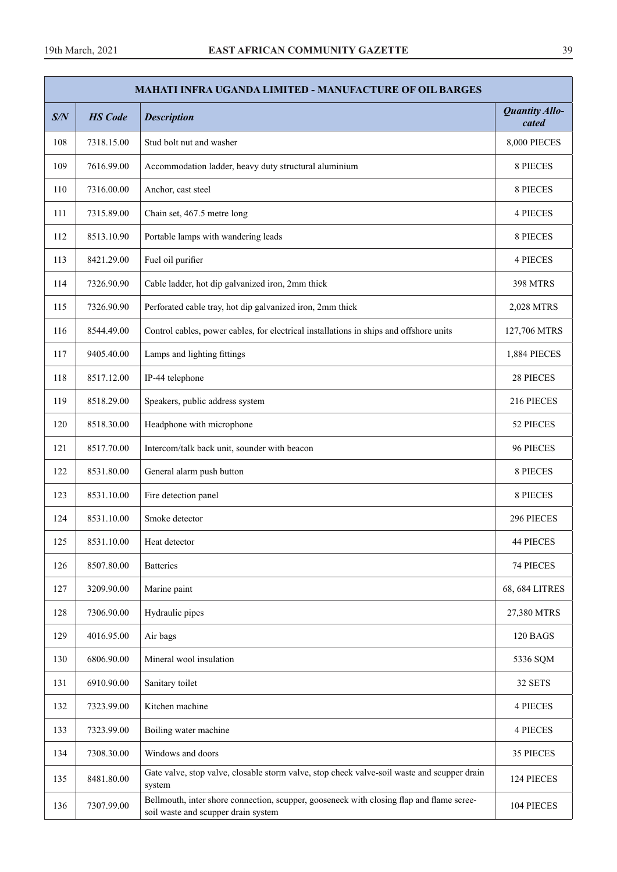|     | <b>MAHATI INFRA UGANDA LIMITED - MANUFACTURE OF OIL BARGES</b> |                                                                                                                                 |                         |  |  |  |  |
|-----|----------------------------------------------------------------|---------------------------------------------------------------------------------------------------------------------------------|-------------------------|--|--|--|--|
| S/N | <b>HS</b> Code                                                 | <b>Description</b>                                                                                                              | Quantity Allo-<br>cated |  |  |  |  |
| 108 | 7318.15.00                                                     | Stud bolt nut and washer                                                                                                        | 8,000 PIECES            |  |  |  |  |
| 109 | 7616.99.00                                                     | Accommodation ladder, heavy duty structural aluminium                                                                           | 8 PIECES                |  |  |  |  |
| 110 | 7316.00.00                                                     | Anchor, cast steel                                                                                                              | 8 PIECES                |  |  |  |  |
| 111 | 7315.89.00                                                     | Chain set, 467.5 metre long                                                                                                     | <b>4 PIECES</b>         |  |  |  |  |
| 112 | 8513.10.90                                                     | Portable lamps with wandering leads                                                                                             | 8 PIECES                |  |  |  |  |
| 113 | 8421.29.00                                                     | Fuel oil purifier                                                                                                               | <b>4 PIECES</b>         |  |  |  |  |
| 114 | 7326.90.90                                                     | Cable ladder, hot dip galvanized iron, 2mm thick                                                                                | <b>398 MTRS</b>         |  |  |  |  |
| 115 | 7326.90.90                                                     | Perforated cable tray, hot dip galvanized iron, 2mm thick                                                                       | 2,028 MTRS              |  |  |  |  |
| 116 | 8544.49.00                                                     | Control cables, power cables, for electrical installations in ships and offshore units                                          | 127,706 MTRS            |  |  |  |  |
| 117 | 9405.40.00                                                     | Lamps and lighting fittings                                                                                                     | 1,884 PIECES            |  |  |  |  |
| 118 | 8517.12.00                                                     | IP-44 telephone                                                                                                                 | 28 PIECES               |  |  |  |  |
| 119 | 8518.29.00                                                     | Speakers, public address system                                                                                                 | 216 PIECES              |  |  |  |  |
| 120 | 8518.30.00                                                     | Headphone with microphone                                                                                                       | 52 PIECES               |  |  |  |  |
| 121 | 8517.70.00                                                     | Intercom/talk back unit, sounder with beacon                                                                                    | 96 PIECES               |  |  |  |  |
| 122 | 8531.80.00                                                     | General alarm push button                                                                                                       | 8 PIECES                |  |  |  |  |
| 123 | 8531.10.00                                                     | Fire detection panel                                                                                                            | 8 PIECES                |  |  |  |  |
| 124 | 8531.10.00                                                     | Smoke detector                                                                                                                  | 296 PIECES              |  |  |  |  |
| 125 | 8531.10.00                                                     | Heat detector                                                                                                                   | <b>44 PIECES</b>        |  |  |  |  |
| 126 | 8507.80.00                                                     | <b>Batteries</b>                                                                                                                | 74 PIECES               |  |  |  |  |
| 127 | 3209.90.00                                                     | Marine paint                                                                                                                    | 68, 684 LITRES          |  |  |  |  |
| 128 | 7306.90.00                                                     | Hydraulic pipes                                                                                                                 | 27,380 MTRS             |  |  |  |  |
| 129 | 4016.95.00                                                     | Air bags                                                                                                                        | 120 BAGS                |  |  |  |  |
| 130 | 6806.90.00                                                     | Mineral wool insulation                                                                                                         | 5336 SQM                |  |  |  |  |
| 131 | 6910.90.00                                                     | Sanitary toilet                                                                                                                 | 32 SETS                 |  |  |  |  |
| 132 | 7323.99.00                                                     | Kitchen machine                                                                                                                 | <b>4 PIECES</b>         |  |  |  |  |
| 133 | 7323.99.00                                                     | Boiling water machine                                                                                                           | <b>4 PIECES</b>         |  |  |  |  |
| 134 | 7308.30.00                                                     | Windows and doors                                                                                                               | 35 PIECES               |  |  |  |  |
| 135 | 8481.80.00                                                     | Gate valve, stop valve, closable storm valve, stop check valve-soil waste and scupper drain<br>system                           | 124 PIECES              |  |  |  |  |
| 136 | 7307.99.00                                                     | Bellmouth, inter shore connection, scupper, gooseneck with closing flap and flame scree-<br>soil waste and scupper drain system | 104 PIECES              |  |  |  |  |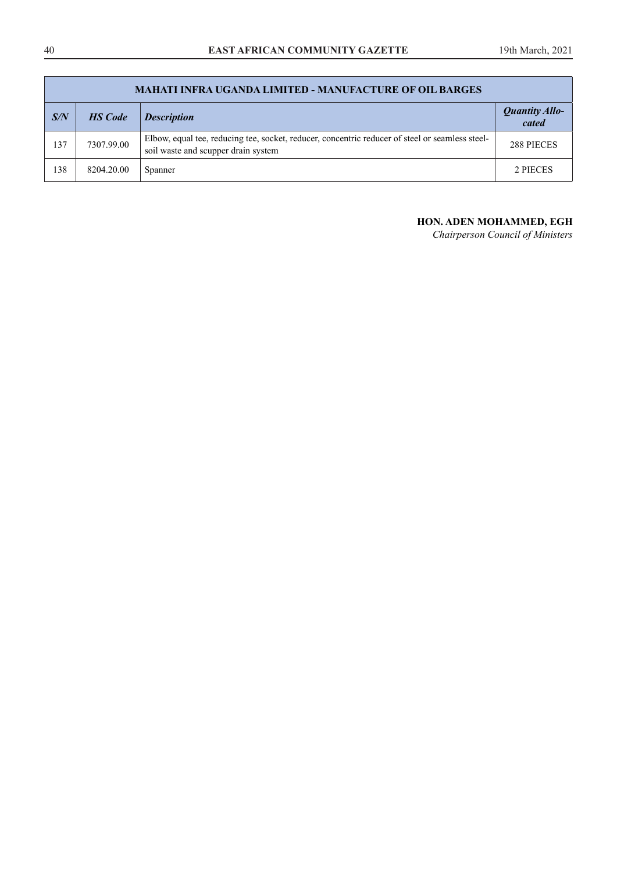|     | <b>MAHATI INFRA UGANDA LIMITED - MANUFACTURE OF OIL BARGES</b> |                                                                                                                                        |                                |  |  |  |  |
|-----|----------------------------------------------------------------|----------------------------------------------------------------------------------------------------------------------------------------|--------------------------------|--|--|--|--|
| S/N | <b>HS</b> Code                                                 | <b>Description</b>                                                                                                                     | <b>Quantity Allo-</b><br>cated |  |  |  |  |
| 137 | 7307.99.00                                                     | Elbow, equal tee, reducing tee, socket, reducer, concentric reducer of steel or seamless steel-<br>soil waste and scupper drain system | 288 PIECES                     |  |  |  |  |
| 138 | 8204.20.00                                                     | Spanner                                                                                                                                | 2 PIECES                       |  |  |  |  |

## **HON. ADEN MOHAMMED, EGH**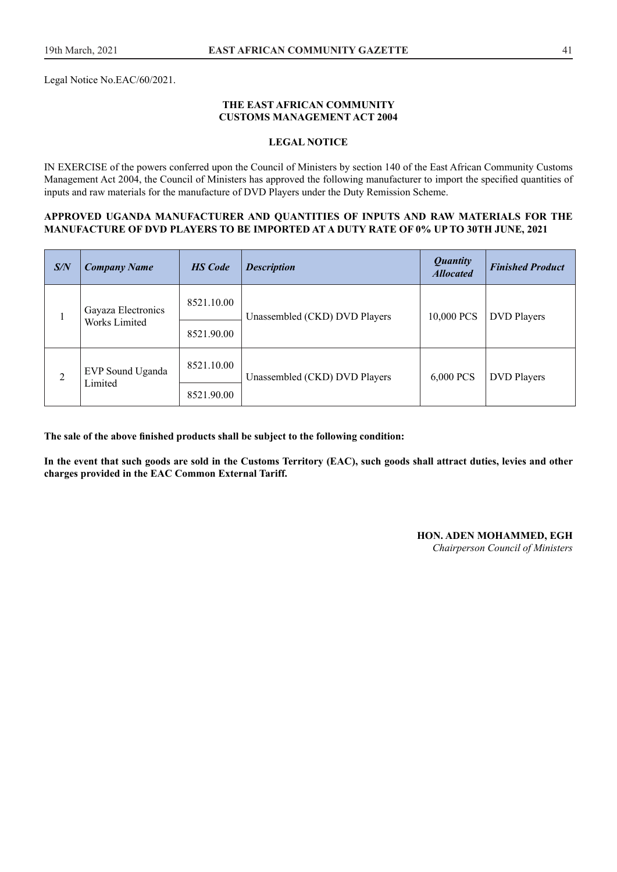Legal Notice No.EAC/60/2021.

#### **THE EAST AFRICAN COMMUNITY CUSTOMS MANAGEMENT ACT 2004**

#### **LEGAL NOTICE**

IN EXERCISE of the powers conferred upon the Council of Ministers by section 140 of the East African Community Customs Management Act 2004, the Council of Ministers has approved the following manufacturer to import the specifed quantities of inputs and raw materials for the manufacture of DVD Players under the Duty Remission Scheme.

#### **APPROVED UGANDA MANUFACTURER AND QUANTITIES OF INPUTS AND RAW MATERIALS FOR THE MANUFACTURE OF DVD PLAYERS TO BE IMPORTED AT A DUTY RATE OF 0% UP TO 30TH JUNE, 2021**

| S/N            | <b>Company Name</b>         | <b>HS</b> Code | <b>Description</b>            | <b>Quantity</b><br><b>Allocated</b> | <b>Finished Product</b> |
|----------------|-----------------------------|----------------|-------------------------------|-------------------------------------|-------------------------|
|                | Gayaza Electronics          | 8521.10.00     | Unassembled (CKD) DVD Players | 10,000 PCS                          | <b>DVD</b> Players      |
|                | Works Limited               | 8521.90.00     |                               |                                     |                         |
| $\overline{2}$ | EVP Sound Uganda<br>Limited | 8521.10.00     | Unassembled (CKD) DVD Players | 6,000 PCS                           | <b>DVD</b> Players      |
|                |                             | 8521.90.00     |                               |                                     |                         |

**The sale of the above fnished products shall be subject to the following condition:** 

**In the event that such goods are sold in the Customs Territory (EAC), such goods shall attract duties, levies and other charges provided in the EAC Common External Tariff.** 

#### **HON. ADEN MOHAMMED, EGH**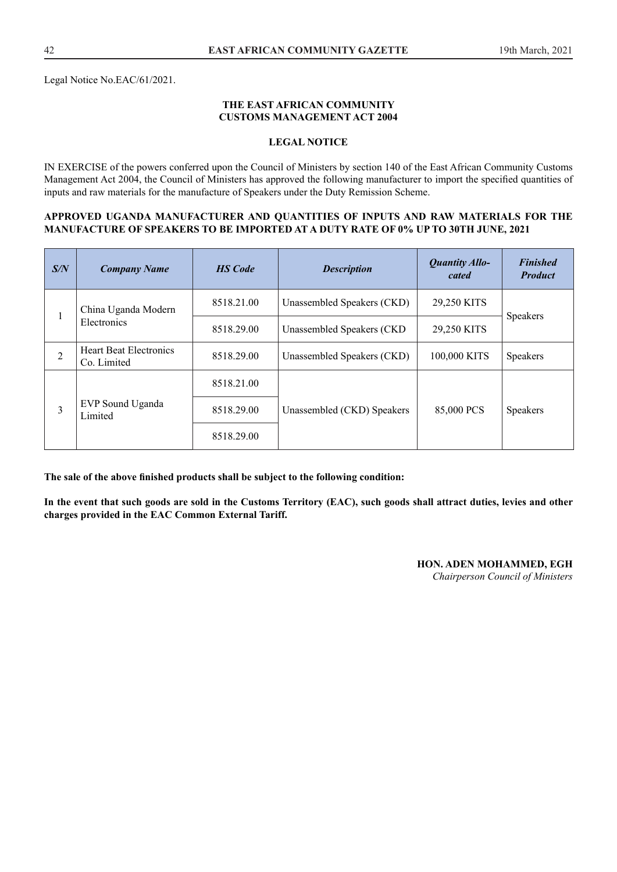#### **THE EAST AFRICAN COMMUNITY CUSTOMS MANAGEMENT ACT 2004**

#### **LEGAL NOTICE**

IN EXERCISE of the powers conferred upon the Council of Ministers by section 140 of the East African Community Customs Management Act 2004, the Council of Ministers has approved the following manufacturer to import the specifed quantities of inputs and raw materials for the manufacture of Speakers under the Duty Remission Scheme.

#### **APPROVED UGANDA MANUFACTURER AND QUANTITIES OF INPUTS AND RAW MATERIALS FOR THE MANUFACTURE OF SPEAKERS TO BE IMPORTED AT A DUTY RATE OF 0% UP TO 30TH JUNE, 2021**

| S/N            | <b>HS</b> Code<br><b>Company Name</b>        |            | <b>Description</b>         | <b>Quantity Allo-</b><br>cated | <b>Finished</b><br><b>Product</b> |
|----------------|----------------------------------------------|------------|----------------------------|--------------------------------|-----------------------------------|
| 1              | China Uganda Modern                          | 8518.21.00 | Unassembled Speakers (CKD) | 29,250 KITS                    | Speakers                          |
|                | Electronics                                  | 8518.29.00 | Unassembled Speakers (CKD) | 29,250 KITS                    |                                   |
| $\overline{2}$ | <b>Heart Beat Electronics</b><br>Co. Limited | 8518.29.00 | Unassembled Speakers (CKD) | 100,000 KITS                   | Speakers                          |
|                | EVP Sound Uganda<br>Limited                  | 8518.21.00 |                            |                                |                                   |
| 3              |                                              | 8518.29.00 | Unassembled (CKD) Speakers | 85,000 PCS                     | Speakers                          |
|                |                                              | 8518.29.00 |                            |                                |                                   |

**The sale of the above fnished products shall be subject to the following condition:** 

**In the event that such goods are sold in the Customs Territory (EAC), such goods shall attract duties, levies and other charges provided in the EAC Common External Tariff.**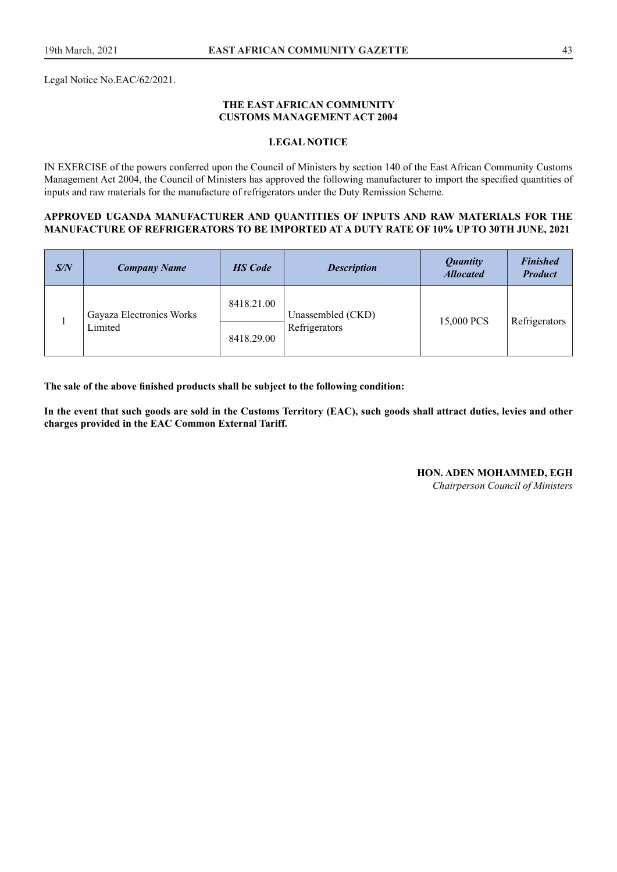Legal Notice No.EAC/62/2021.

#### **THE EAST AFRICAN COMMUNITY CUSTOMS MANAGEMENT ACT 2004**

#### **LEGAL NOTICE**

IN EXERCISE of the powers conferred upon the Council of Ministers by section 140 of the East African Community Customs Management Act 2004, the Council of Ministers has approved the following manufacturer to import the specifed quantities of inputs and raw materials for the manufacture of refrigerators under the Duty Remission Scheme.

#### **APPROVED UGANDA MANUFACTURER AND QUANTITIES OF INPUTS AND RAW MATERIALS FOR THE MANUFACTURE OF REFRIGERATORS TO BE IMPORTED AT A DUTY RATE OF 10% UP TO 30TH JUNE, 2021**

| S/N | <b>Company Name</b>                 | <b>HS</b> Code           | <b>Description</b>                 | <b>Quantity</b><br><b>Allocated</b> | <b>Finished</b><br><b>Product</b> |
|-----|-------------------------------------|--------------------------|------------------------------------|-------------------------------------|-----------------------------------|
|     | Gayaza Electronics Works<br>Limited | 8418.21.00<br>8418.29.00 | Unassembled (CKD)<br>Refrigerators | 15,000 PCS                          | Refrigerators                     |

**The sale of the above fnished products shall be subject to the following condition:** 

**In the event that such goods are sold in the Customs Territory (EAC), such goods shall attract duties, levies and other charges provided in the EAC Common External Tariff.**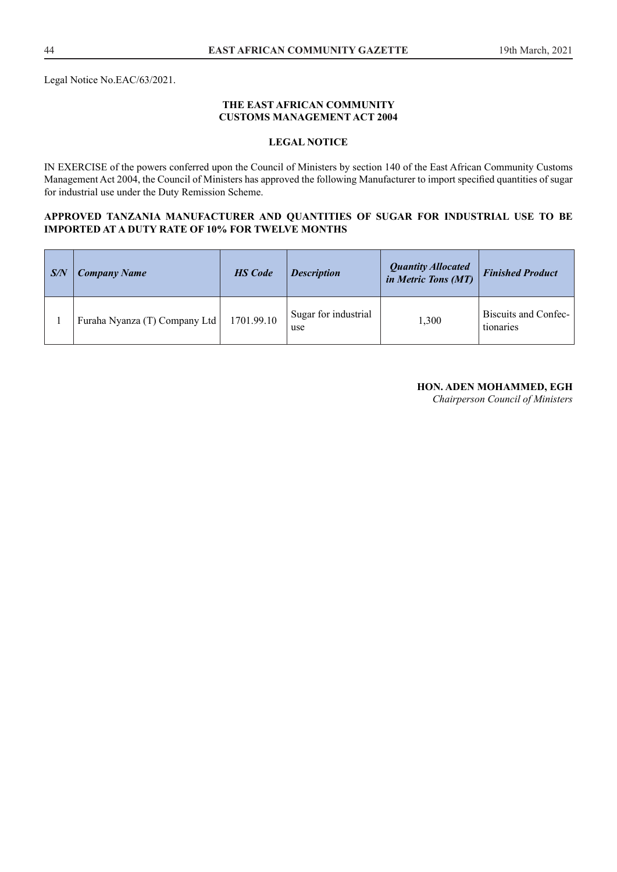Legal Notice No.EAC/63/2021.

#### **THE EAST AFRICAN COMMUNITY CUSTOMS MANAGEMENT ACT 2004**

## **LEGAL NOTICE**

IN EXERCISE of the powers conferred upon the Council of Ministers by section 140 of the East African Community Customs Management Act 2004, the Council of Ministers has approved the following Manufacturer to import specifed quantities of sugar for industrial use under the Duty Remission Scheme.

#### **APPROVED TANZANIA MANUFACTURER AND QUANTITIES OF SUGAR FOR INDUSTRIAL USE TO BE IMPORTED AT A DUTY RATE OF 10% FOR TWELVE MONTHS**

| S/N | <b>Company Name</b>           | <b>HS</b> Code | <b>Description</b>          | <b>Quantity Allocated</b><br>in Metric Tons (MT) | <b>Finished Product</b>           |
|-----|-------------------------------|----------------|-----------------------------|--------------------------------------------------|-----------------------------------|
|     | Furaha Nyanza (T) Company Ltd | 1701.99.10     | Sugar for industrial<br>use | 1,300                                            | Biscuits and Confec-<br>tionaries |

#### **HON. ADEN MOHAMMED, EGH**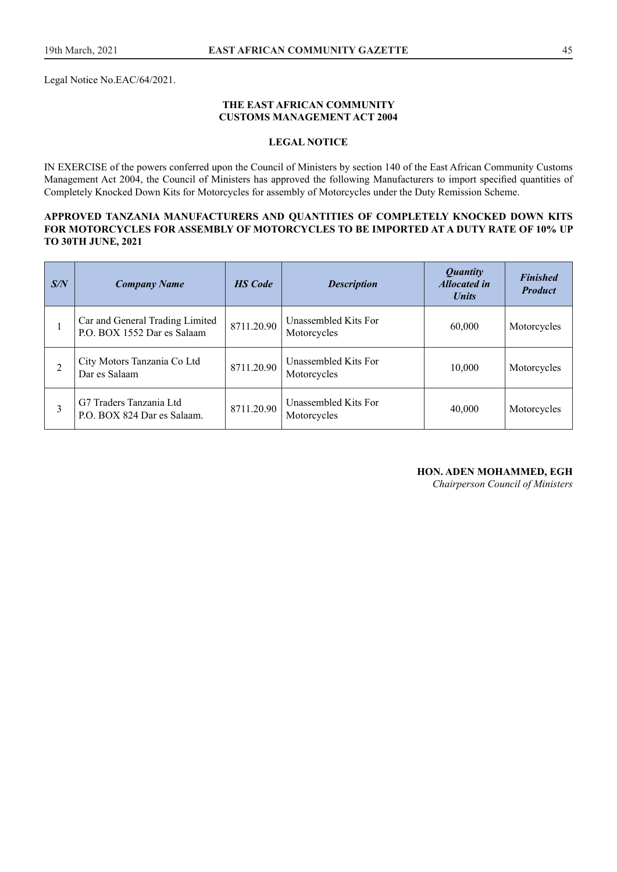Legal Notice No.EAC/64/2021.

#### **THE EAST AFRICAN COMMUNITY CUSTOMS MANAGEMENT ACT 2004**

#### **LEGAL NOTICE**

IN EXERCISE of the powers conferred upon the Council of Ministers by section 140 of the East African Community Customs Management Act 2004, the Council of Ministers has approved the following Manufacturers to import specifed quantities of Completely Knocked Down Kits for Motorcycles for assembly of Motorcycles under the Duty Remission Scheme.

#### **APPROVED TANZANIA MANUFACTURERS AND QUANTITIES OF COMPLETELY KNOCKED DOWN KITS FOR MOTORCYCLES FOR ASSEMBLY OF MOTORCYCLES TO BE IMPORTED AT A DUTY RATE OF 10% UP TO 30TH JUNE, 2021**

| S/N | <b>Company Name</b>                                            | <b>HS</b> Code | <b>Description</b>                  | <i>Quantity</i><br><b>Allocated in</b><br><b><i>Units</i></b> | <b>Finished</b><br><b>Product</b> |
|-----|----------------------------------------------------------------|----------------|-------------------------------------|---------------------------------------------------------------|-----------------------------------|
|     | Car and General Trading Limited<br>P.O. BOX 1552 Dar es Salaam | 8711.20.90     | Unassembled Kits For<br>Motorcycles | 60,000                                                        | Motorcycles                       |
| 2   | City Motors Tanzania Co Ltd<br>Dar es Salaam                   | 8711.20.90     | Unassembled Kits For<br>Motorcycles | 10,000                                                        | Motorcycles                       |
|     | G7 Traders Tanzania Ltd<br>P.O. BOX 824 Dar es Salaam.         | 8711.20.90     | Unassembled Kits For<br>Motorcycles | 40,000                                                        | Motorcycles                       |

## **HON. ADEN MOHAMMED, EGH**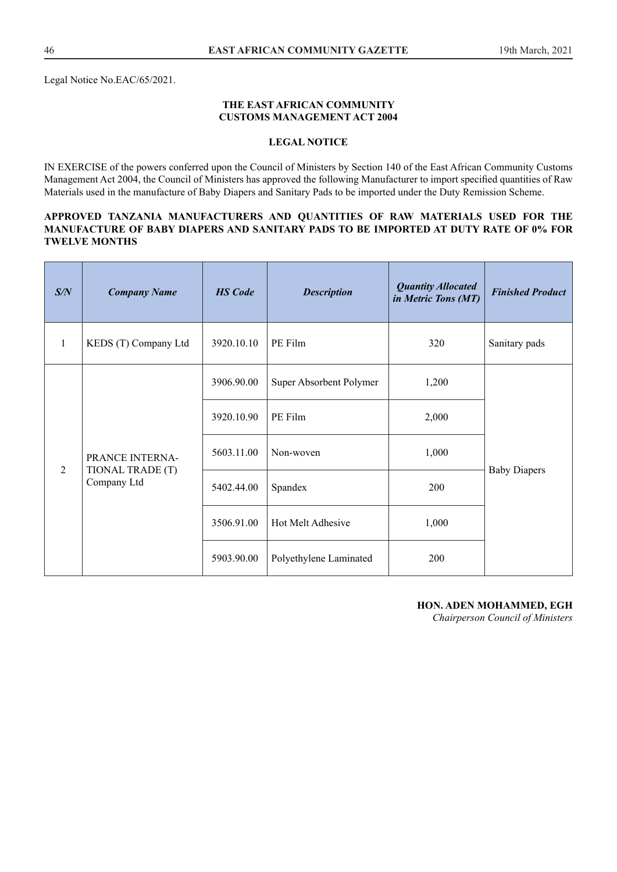#### **THE EAST AFRICAN COMMUNITY CUSTOMS MANAGEMENT ACT 2004**

#### **LEGAL NOTICE**

IN EXERCISE of the powers conferred upon the Council of Ministers by Section 140 of the East African Community Customs Management Act 2004, the Council of Ministers has approved the following Manufacturer to import specifed quantities of Raw Materials used in the manufacture of Baby Diapers and Sanitary Pads to be imported under the Duty Remission Scheme.

#### **APPROVED TANZANIA MANUFACTURERS AND QUANTITIES OF RAW MATERIALS USED FOR THE MANUFACTURE OF BABY DIAPERS AND SANITARY PADS TO BE IMPORTED AT DUTY RATE OF 0% FOR TWELVE MONTHS**

| S/N            | <b>Company Name</b>                                | <b>HS</b> Code | <b>Description</b>      | <b>Quantity Allocated</b><br>in Metric Tons (MT) | <b>Finished Product</b> |
|----------------|----------------------------------------------------|----------------|-------------------------|--------------------------------------------------|-------------------------|
| 1              | KEDS (T) Company Ltd                               | 3920.10.10     | PE Film                 | 320                                              | Sanitary pads           |
|                | PRANCE INTERNA-<br>TIONAL TRADE (T)<br>Company Ltd | 3906.90.00     | Super Absorbent Polymer | 1,200                                            |                         |
|                |                                                    | 3920.10.90     | PE Film                 | 2,000                                            |                         |
|                |                                                    | 5603.11.00     | Non-woven               | 1,000                                            |                         |
| $\overline{2}$ |                                                    | 5402.44.00     | Spandex                 | 200                                              | <b>Baby Diapers</b>     |
|                |                                                    | 3506.91.00     | Hot Melt Adhesive       | 1,000                                            |                         |
|                |                                                    | 5903.90.00     | Polyethylene Laminated  | 200                                              |                         |